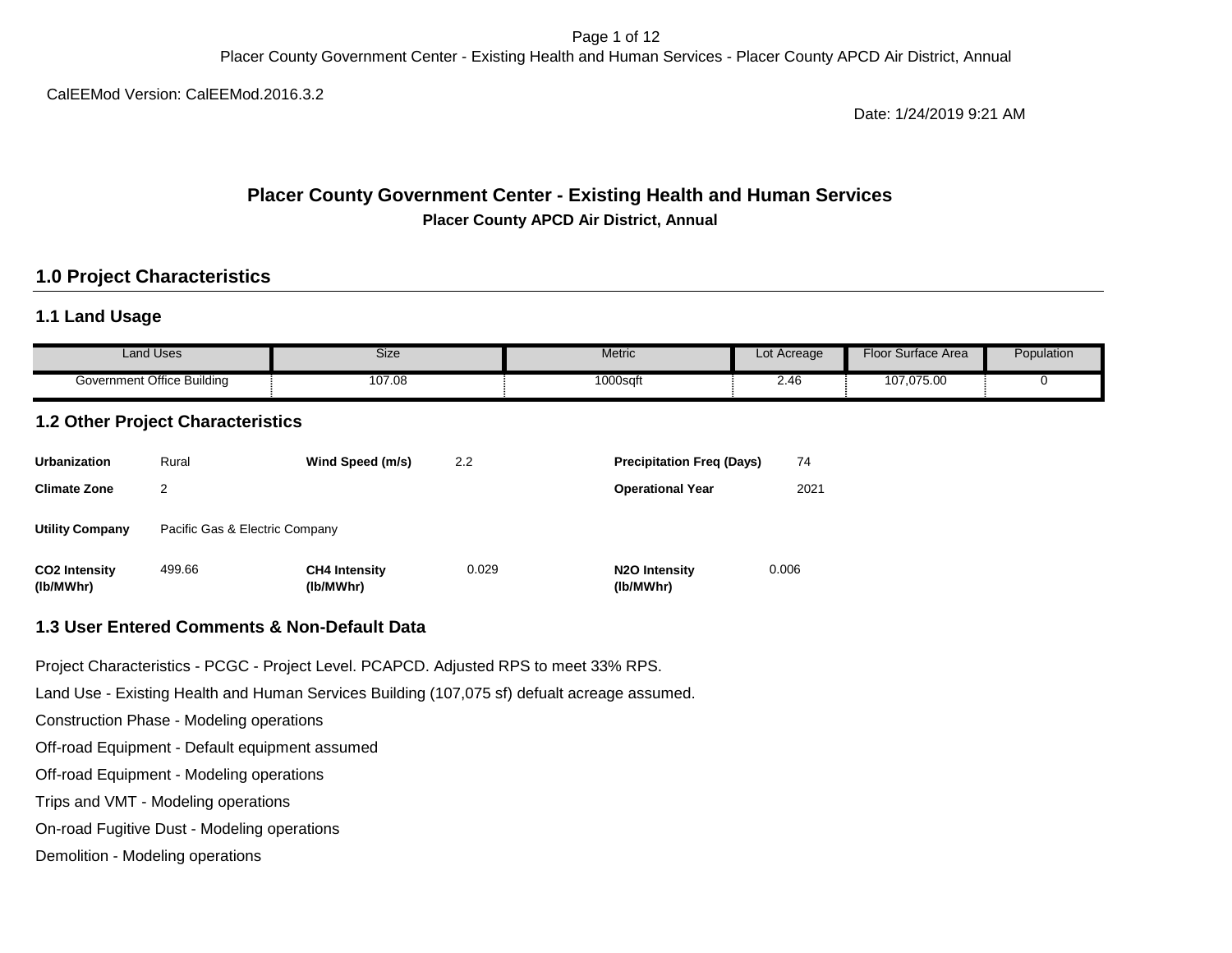Page 1 of 12 Placer County Government Center - Existing Health and Human Services - Placer County APCD Air District, Annual

CalEEMod Version: CalEEMod.2016.3.2

Date: 1/24/2019 9:21 AM

### **Placer County Government Center - Existing Health and Human Services Placer County APCD Air District, Annual**

### **1.0 Project Characteristics**

### **1.1 Land Usage**

| Land Uses                  | Size   | <b>Metric</b> | Lot Acreage                      | Floor<br><sup>.</sup> Surface Area | Population |
|----------------------------|--------|---------------|----------------------------------|------------------------------------|------------|
| Government Office Building | 107.08 | $1000$ sqft   | $\overline{\phantom{a}}$<br>2.4t | 107.075.00                         |            |

## **1.2 Other Project Characteristics**

| <b>Urbanization</b>               | Rural                          | Wind Speed (m/s)                  | 2.2   | <b>Precipitation Freg (Days)</b>        | 74    |
|-----------------------------------|--------------------------------|-----------------------------------|-------|-----------------------------------------|-------|
| <b>Climate Zone</b>               | 2                              |                                   |       | <b>Operational Year</b>                 | 2021  |
| <b>Utility Company</b>            | Pacific Gas & Electric Company |                                   |       |                                         |       |
| <b>CO2 Intensity</b><br>(lb/MWhr) | 499.66                         | <b>CH4 Intensity</b><br>(lb/MWhr) | 0.029 | N <sub>2</sub> O Intensity<br>(lb/MWhr) | 0.006 |

#### **1.3 User Entered Comments & Non-Default Data**

Project Characteristics - PCGC - Project Level. PCAPCD. Adjusted RPS to meet 33% RPS.

Land Use - Existing Health and Human Services Building (107,075 sf) defualt acreage assumed.

Construction Phase - Modeling operations

Off-road Equipment - Default equipment assumed

Off-road Equipment - Modeling operations

Trips and VMT - Modeling operations

On-road Fugitive Dust - Modeling operations

Demolition - Modeling operations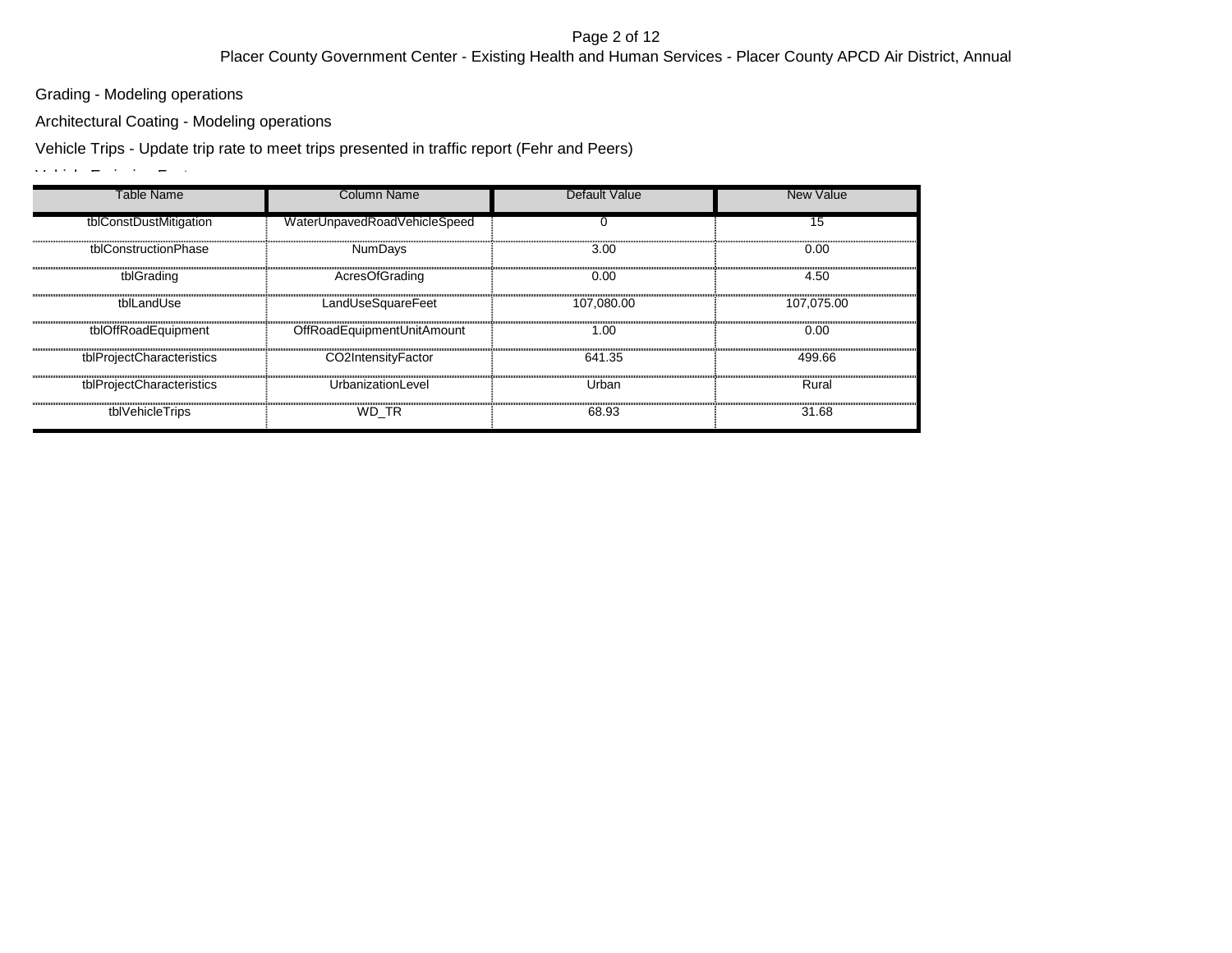#### Page 2 of 12 Placer County Government Center - Existing Health and Human Services - Placer County APCD Air District, Annual

Grading - Modeling operations

Architectural Coating - Modeling operations

Vehicle Trips - Update trip rate to meet trips presented in traffic report (Fehr and Peers)

 $V$ ehicle Emission Factors -  $E = V$ 

| Table Name                | Column Name                  | <b>Default Value</b> | <b>New Value</b> |
|---------------------------|------------------------------|----------------------|------------------|
| tblConstDustMitigation    | WaterUnpavedRoadVehicleSpeed |                      | 15               |
| tblConstructionPhase      | <b>NumDays</b>               | 3.00                 | 0.00             |
| tblGrading                | AcresOfGrading               | 0.00                 | 4.50             |
| tblLandUse                | LandUseSquareFeet            | 107.080.00           | 107.075.00       |
| tblOffRoadEquipment       | OffRoadEquipmentUnitAmount   | 1.00                 | 0.00             |
| tblProjectCharacteristics | CO2IntensityFactor           | 641.35               | 499.66           |
| tblProjectCharacteristics | UrbanizationLevel            | Urban                | Rural            |
| tblVehicleTrips           | WD TR                        | 68.93                | 31.68            |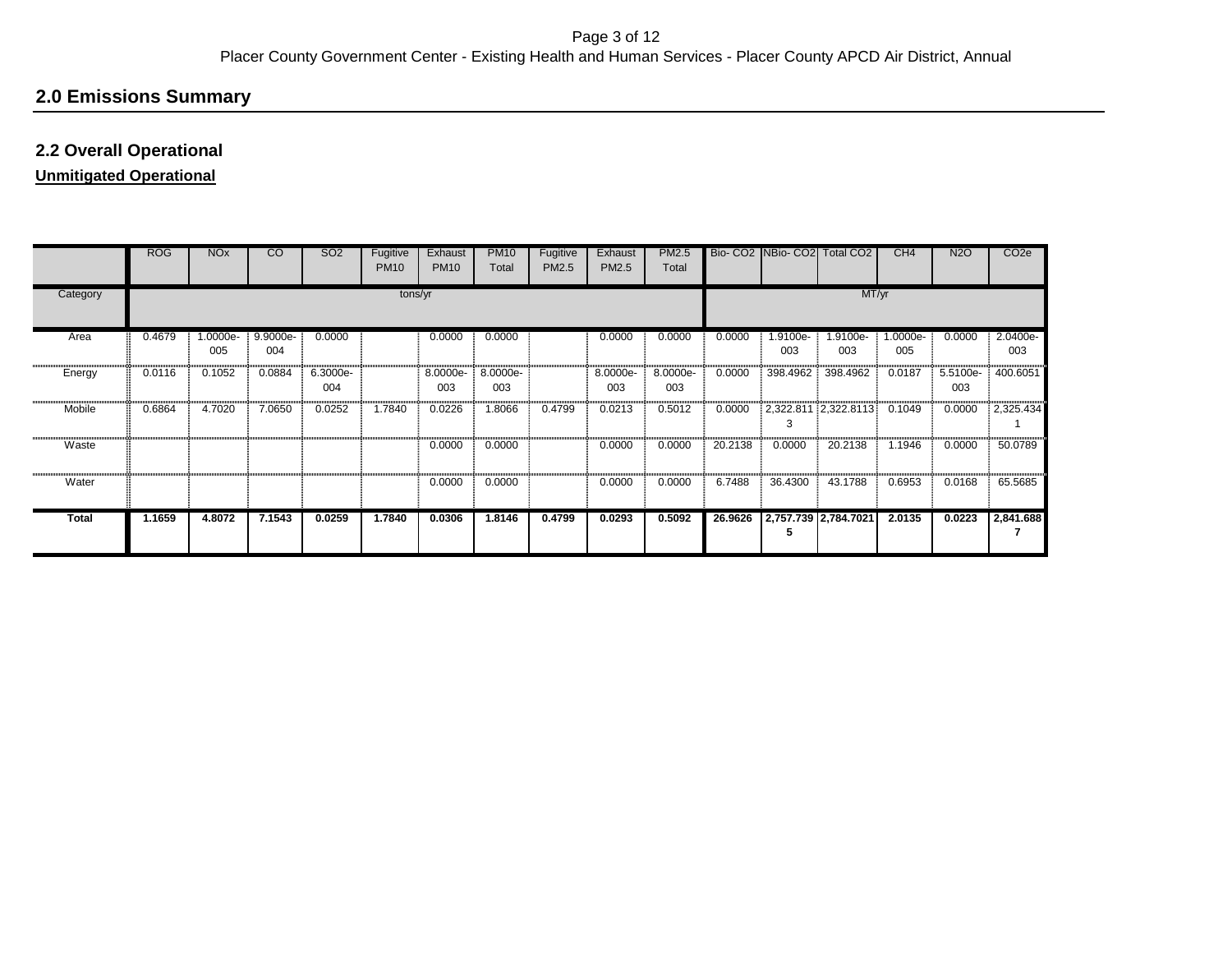# **2.0 Emissions Summary**

### **2.2 Overall Operational**

## **Unmitigated Operational**

|              | <b>ROG</b> | <b>NO<sub>x</sub></b> | $\overline{c}$  | <b>SO2</b>      | Fugitive<br><b>PM10</b> | Exhaust<br><b>PM10</b> | <b>PM10</b><br>Total | Fugitive<br>PM2.5 | Exhaust<br>PM2.5 | <b>PM2.5</b><br>Total |         | Bio- CO2 NBio- CO2 Total CO2 |                      | CH4             | N <sub>2</sub> O | CO <sub>2</sub> e |
|--------------|------------|-----------------------|-----------------|-----------------|-------------------------|------------------------|----------------------|-------------------|------------------|-----------------------|---------|------------------------------|----------------------|-----------------|------------------|-------------------|
| Category     |            |                       |                 |                 | tons/yr                 |                        |                      |                   |                  |                       |         |                              | MT/yr                |                 |                  |                   |
| Area         | 0.4679     | 1.0000e-<br>005       | 9.9000e-<br>004 | 0.0000          |                         | 0.0000                 | 0.0000               |                   | 0.0000           | 0.0000                | 0.0000  | -9100e.<br>003               | .9100e-<br>003       | 1.0000e-<br>005 | 0.0000           | 2.0400e-<br>003   |
| Energy       | 0.0116     | 0.1052                | 0.0884          | 6.3000e-<br>004 |                         | 8.0000e-<br>003        | 8.0000e-<br>003      |                   | 8.0000e-<br>003  | 8.0000e-<br>003       | 0.0000  | 398.4962                     | 398.4962             | 0.0187          | 5.5100e-<br>003  | 400.6051          |
| Mobile       | 0.6864     | 4.7020                | 7.0650          | 0.0252          | 1.7840                  | 0.0226                 | 1.8066               | 0.4799            | 0.0213           | 0.5012                | 0.0000  | 3                            | 2,322.811 2,322.8113 | 0.1049          | 0.0000           | 2,325.434         |
| Waste        |            |                       |                 |                 |                         | 0.0000                 | 0.0000               |                   | 0.0000           | 0.0000                | 20.2138 | 0.0000                       | 20.2138              | 1.1946          | 0.0000           | 50.0789           |
| Water        |            |                       |                 |                 |                         | 0.0000                 | 0.0000               |                   | 0.0000           | 0.0000                | 6.7488  | 36.4300                      | 43.1788              | 0.6953          | 0.0168           | 65.5685           |
| <b>Total</b> | 1.1659     | 4.8072                | 7.1543          | 0.0259          | 1.7840                  | 0.0306                 | 1.8146               | 0.4799            | 0.0293           | 0.5092                | 26.9626 | 2,757.739 2,784.7021<br>5    |                      | 2.0135          | 0.0223           | 2,841.688         |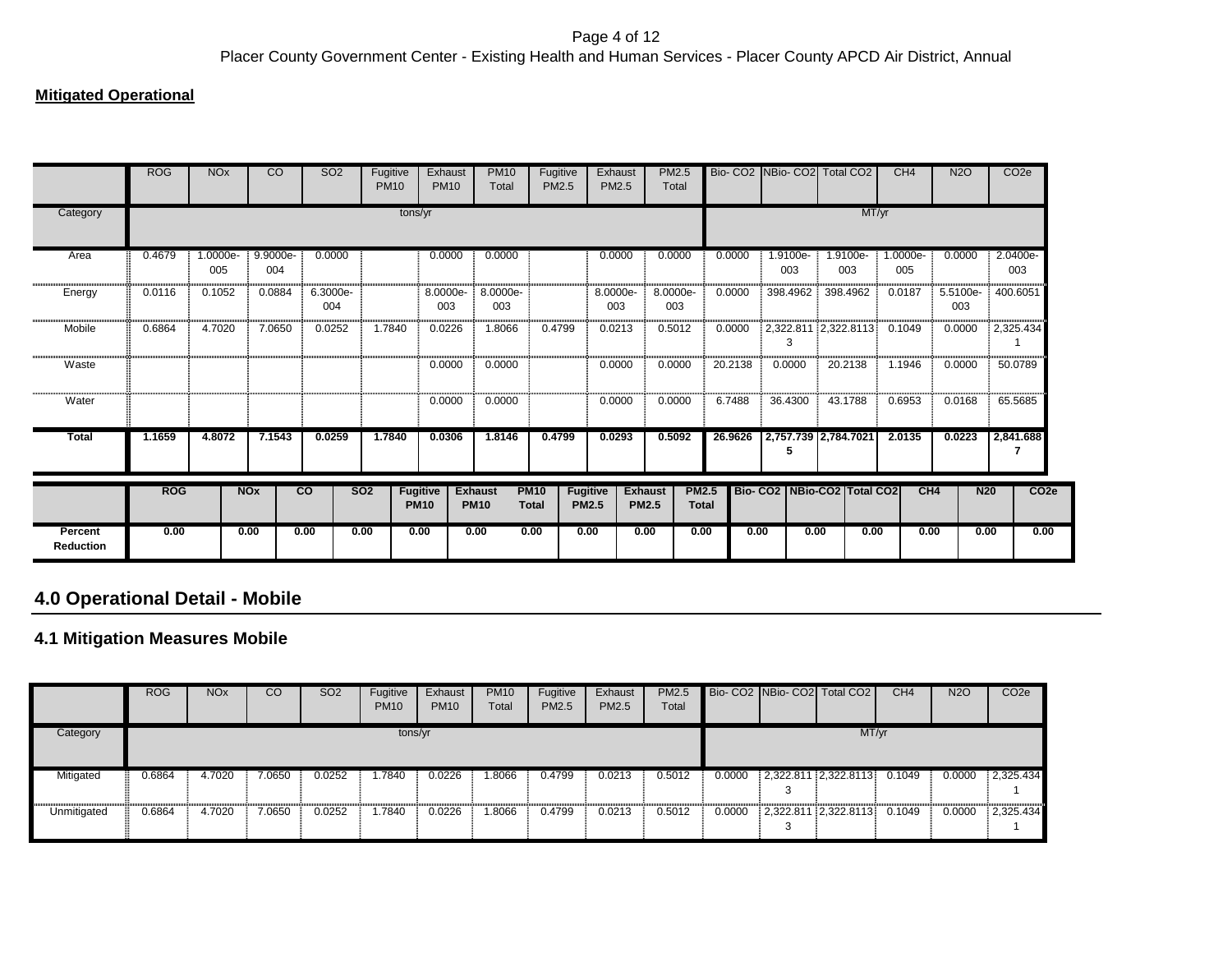### **Mitigated Operational**

|                             | <b>ROG</b> | <b>NO<sub>x</sub></b> | CO                    | SO <sub>2</sub> | Fugitive<br><b>PM10</b> |                                | Exhaust<br><b>PM10</b> | <b>PM10</b><br>Total          | Fugitive<br><b>PM2.5</b>    |                                 | Exhaust<br><b>PM2.5</b>        | <b>PM2.5</b><br>Total |                              |      |                 | Bio- CO2 NBio- CO2 Total CO2    |       | CH <sub>4</sub> | N <sub>2</sub> O | CO <sub>2e</sub>                |
|-----------------------------|------------|-----------------------|-----------------------|-----------------|-------------------------|--------------------------------|------------------------|-------------------------------|-----------------------------|---------------------------------|--------------------------------|-----------------------|------------------------------|------|-----------------|---------------------------------|-------|-----------------|------------------|---------------------------------|
| Category                    |            |                       |                       |                 |                         | tons/yr                        |                        |                               |                             |                                 |                                |                       |                              |      |                 |                                 | MT/yr |                 |                  |                                 |
| Area                        | 0.4679     | 1.0000e-<br>005       | 9.9000e-<br>004       | 0.0000          |                         |                                | 0.0000                 | 0.0000                        |                             |                                 | 0.0000                         | 0.0000                | 0.0000                       |      | 1.9100e-<br>003 | 1.9100e-<br>003                 |       | 1.0000e-<br>005 | 0.0000           | 2.0400e-<br>003                 |
| Energy                      | 0.0116     | 0.1052                | 0.0884                | 6.3000e-<br>004 |                         |                                | 8.0000e-<br>003        | 8.0000e-<br>003               |                             |                                 | 8.0000e-<br>003                | 8.0000e-<br>003       | 0.0000                       |      | 398.4962        | 398.4962                        |       | 0.0187          | 5.5100e-<br>003  | 400.6051                        |
| Mobile                      | 0.6864     | 4.7020                | 7.0650                | 0.0252          | 1.7840                  |                                | 0.0226                 | 1.8066                        | 0.4799                      |                                 | 0.0213                         | 0.5012                | 0.0000                       |      | 3               | 2,322.811 2,322.8113            |       | 0.1049          | 0.0000           | 2,325.434                       |
| Waste                       |            |                       |                       |                 |                         |                                | 0.0000                 | 0.0000                        |                             |                                 | 0.0000                         | 0.0000                | 20.2138                      |      | 0.0000          | 20.2138                         |       | 1.1946          | 0.0000           | 50.0789                         |
| Water                       |            |                       |                       |                 |                         |                                | 0.0000                 | 0.0000                        |                             |                                 | 0.0000                         | 0.0000                | 6.7488                       |      | 36.4300         | 43.1788                         |       | 0.6953          | 0.0168           | 65.5685                         |
| <b>Total</b>                | 1.1659     | 4.8072                | 7.1543                | 0.0259          | 1.7840                  |                                | 0.0306                 | 1.8146                        | 0.4799                      |                                 | 0.0293                         | 0.5092                | 26.9626                      |      | 5               | 2,757.739 2,784.7021            |       | 2.0135          | 0.0223           | 2,841.688                       |
|                             | <b>ROG</b> |                       | <b>NO<sub>x</sub></b> | $\overline{co}$ | SO <sub>2</sub>         | <b>Fugitive</b><br><b>PM10</b> |                        | <b>Exhaust</b><br><b>PM10</b> | <b>PM10</b><br><b>Total</b> | <b>Fugitive</b><br><b>PM2.5</b> | <b>Exhaust</b><br><b>PM2.5</b> |                       | <b>PM2.5</b><br><b>Total</b> |      |                 | Bio- CO2   NBio-CO2   Total CO2 |       | CH4             |                  | <b>N20</b><br>CO <sub>2</sub> e |
| Percent<br><b>Reduction</b> | 0.00       |                       | 0.00                  | 0.00            | 0.00                    | 0.00                           |                        | 0.00                          | 0.00                        | 0.00                            | 0.00                           |                       | 0.00                         | 0.00 | 0.00            |                                 | 0.00  | 0.00            |                  | 0.00<br>0.00                    |

# **4.0 Operational Detail - Mobile**

### **4.1 Mitigation Measures Mobile**

|             | <b>ROG</b> | <b>NO<sub>x</sub></b> | <sub>CO</sub> | <b>SO2</b> | Fugitive<br><b>PM10</b> | Exhaust<br><b>PM10</b> | <b>PM10</b><br>Total | Fugitive<br>PM2.5 | Exhaust<br><b>PM2.5</b> | <b>PM2.5</b><br>Total |        | Bio-CO2 NBio-CO2 Total CO2 | CH4    | <b>N2O</b> | CO <sub>2e</sub> |
|-------------|------------|-----------------------|---------------|------------|-------------------------|------------------------|----------------------|-------------------|-------------------------|-----------------------|--------|----------------------------|--------|------------|------------------|
| Category    |            |                       |               |            | tons/yr                 |                        |                      |                   |                         |                       |        | MT/yr                      |        |            |                  |
| Mitigated   | 0.6864     | 4.7020                | 7.0650        | 0.0252     | .7840                   | 0.0226                 | .8066                | 0.4799            | 0.0213                  | 0.5012                | 0.0000 | $2,322.811$ $2,322.8113$   | 0.1049 | 0.0000     | 2,325.434        |
| Unmitigated | 0.6864     | 4.7020                | 7.0650        | 0.0252     | .7840                   | 0.0226                 | 8066.                | 0.4799            | 0.0213                  | 0.5012                | 0.0000 | $2,322.811$ $2,322.8113$   | 0.1049 | 0.0000     | 2,325.434        |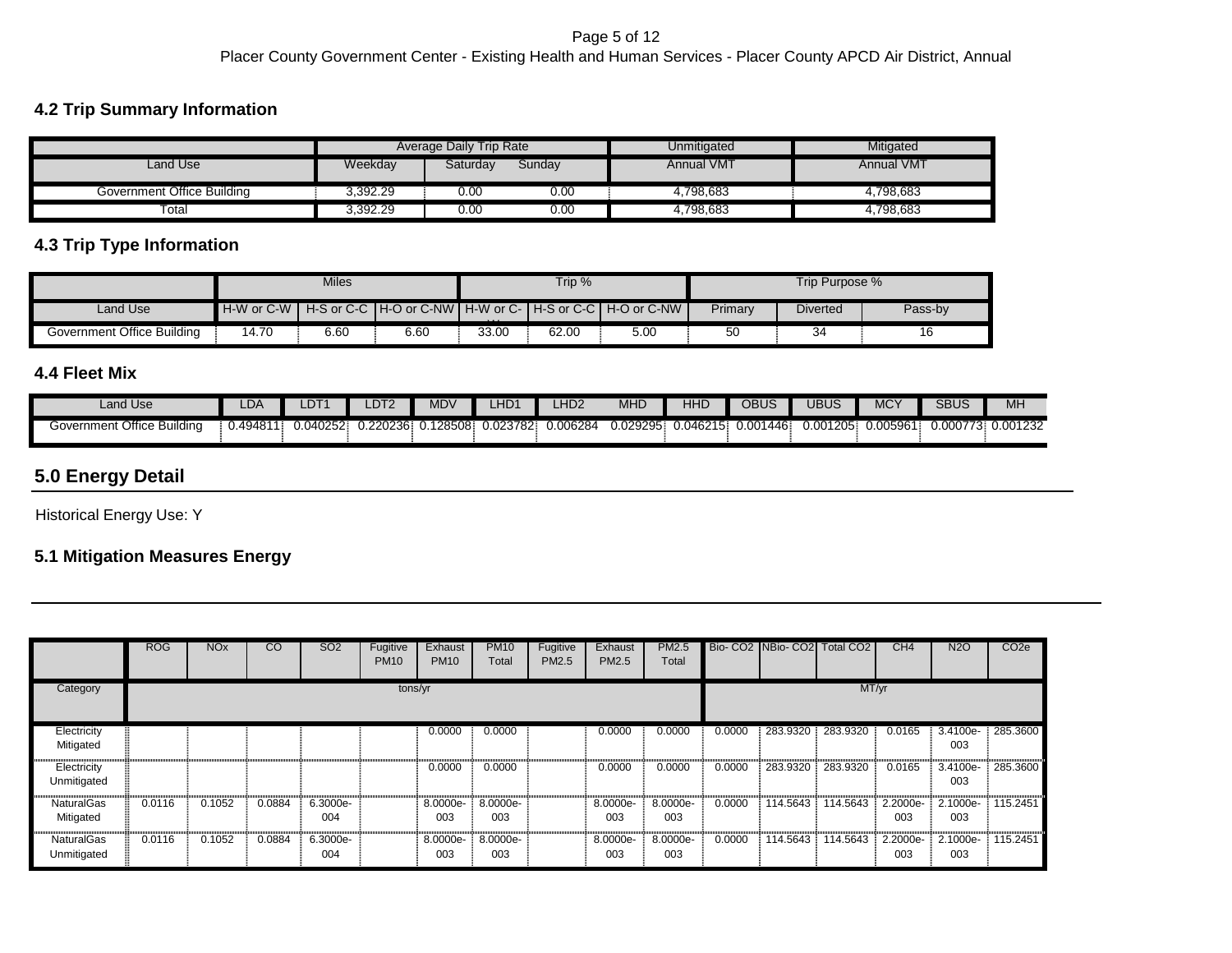### **4.2 Trip Summary Information**

|                            |          | Average Daily Trip Rate |        | Unmitigated       | Mitigated         |
|----------------------------|----------|-------------------------|--------|-------------------|-------------------|
| Land Use                   | Weekday  | Saturdav                | Sunday | <b>Annual VMT</b> | <b>Annual VMT</b> |
| Government Office Building | 3,392.29 | 0.00                    | 0.00   | 4.798.683         | 4.798.683         |
| $\overline{\text{Total}}$  | 3.392.29 | 0.00                    | 0.00   | 4,798,683         | 4,798,683         |

### **4.3 Trip Type Information**

|                            |                         | Miles |      |          | Trip $%$ |                                                                 |         | Trip Purpose %  |         |
|----------------------------|-------------------------|-------|------|----------|----------|-----------------------------------------------------------------|---------|-----------------|---------|
| Land Use                   | $H-W$ or $C-W$ $\vdash$ |       |      | $\cdots$ |          | H-S or C-C   H-O or C-NW   H-W or C-   H-S or C-C   H-O or C-NW | Primary | <b>Diverted</b> | Pass-by |
| Government Office Building | 14.70                   | 6.60  | 6.60 | 33.00    | 62.00    | 5.00                                                            | 50      | 34              | 16      |

### **4.4 Fleet Mix**

| Land Use                      | LDA.    | $-$<br>LDT | DT <sub>2</sub> | MDV    | _HD       | _HD2     | <b>MHD</b> | HHD      | OBUS           | <b>JBUS</b> | $MC^{\vee}$ | <b>SBUS</b>     | MH       |
|-------------------------------|---------|------------|-----------------|--------|-----------|----------|------------|----------|----------------|-------------|-------------|-----------------|----------|
| Government Office<br>Buildina | 0.49481 | 0.040252   | 0.220236:       | 128508 | ).023782. | .006284. | 0.029295   | 0.046215 | 1446.<br>0.001 | 0.001205    | 0.005961    | 0.00077'<br>ີວະ | 0.001232 |

# **5.0 Energy Detail**

Historical Energy Use: Y

## **5.1 Mitigation Measures Energy**

|                                | <b>ROG</b> | <b>NOx</b> | $\overline{c}$ | SO <sub>2</sub> | Fugitive<br><b>PM10</b> | Exhaust<br><b>PM10</b> | <b>PM10</b><br>Total | Fugitive<br>PM2.5 | Exhaust<br>PM2.5 | <b>PM2.5</b><br>Total |        | Bio- CO2 NBio- CO2 Total CO2 |          | CH4             | <b>N2O</b>      | CO <sub>2</sub> e |
|--------------------------------|------------|------------|----------------|-----------------|-------------------------|------------------------|----------------------|-------------------|------------------|-----------------------|--------|------------------------------|----------|-----------------|-----------------|-------------------|
| Category                       |            |            |                |                 | tons/yr                 |                        |                      |                   |                  | MT/yr                 |        |                              |          |                 |                 |                   |
| Electricity<br>Mitigated       |            |            |                |                 |                         | 0.0000                 | 0.0000               |                   | 0.0000           | 0.0000                | 0.0000 | 283.9320                     | 283.9320 | 0.0165          | 3.4100e-<br>003 | 285.3600          |
| Electricity<br>Unmitigated     |            |            |                |                 |                         | 0.0000                 | 0.0000               |                   | 0.0000           | 0.0000                | 0.0000 | 283.9320                     | 283.9320 | 0.0165          | 3.4100e-<br>003 | 285.3600          |
| <b>NaturalGas</b><br>Mitigated | 0.0116     | 0.1052     | 0.0884         | 6.3000e-<br>004 |                         | 8.0000e-<br>003        | 8.0000e-<br>003      |                   | 8.0000e-<br>003  | 8.0000e-<br>003       | 0.0000 | 114.5643                     | 114.5643 | 2.2000e-<br>003 | 2.1000e-<br>003 | 115.2451          |
| NaturalGas<br>Unmitigated      | 0.0116     | 0.1052     | 0.0884         | 6.3000e-<br>004 |                         | 8.0000e-<br>003        | 8.0000e-<br>003      |                   | 8.0000e-<br>003  | 8.0000e-<br>003       | 0.0000 | 114.5643                     | 114.5643 | 2.2000e-<br>003 | 2.1000e-<br>003 | 115.2451          |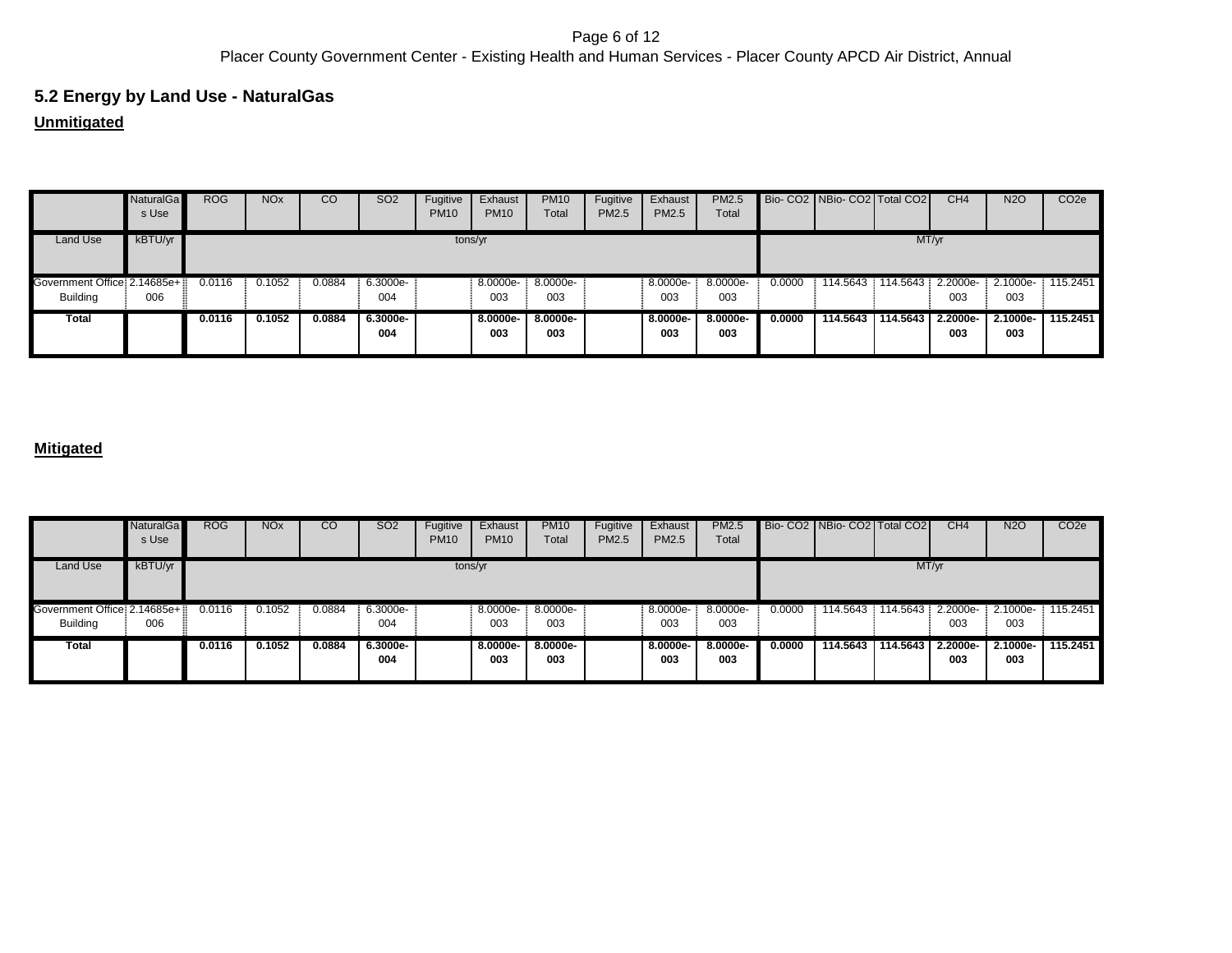#### Page 6 of 12 Placer County Government Center - Existing Health and Human Services - Placer County APCD Air District, Annual

# **5.2 Energy by Land Use - NaturalGas**

# **Unmitigated**

|                              | <b>NaturalGa</b><br>s Use | <b>ROG</b> | <b>NO<sub>x</sub></b> | CO     | <b>SO2</b>      | Fugitive<br><b>PM10</b> | Exhaust<br><b>PM10</b> | <b>PM10</b><br>Total | Fugitive<br>PM2.5 | Exhaust<br>PM2.5 | <b>PM2.5</b><br>Total |        | Bio- CO2   NBio- CO2   Total CO2 |                   | CH <sub>4</sub> | <b>N2O</b>        | CO <sub>2</sub> e |
|------------------------------|---------------------------|------------|-----------------------|--------|-----------------|-------------------------|------------------------|----------------------|-------------------|------------------|-----------------------|--------|----------------------------------|-------------------|-----------------|-------------------|-------------------|
| Land Use                     | kBTU/yr                   |            |                       |        |                 | tons/yr                 |                        |                      |                   |                  |                       |        |                                  | MT/yr             |                 |                   |                   |
| Government Office: 2.14685e+ |                           | 0.0116     | 0.1052                | 0.0884 | 6.3000e-        |                         | 8.0000e-               | 8.0000e-             |                   | 8.0000e-         | 8.0000e-              | 0.0000 | 114.5643                         | 114.5643 2.2000e- |                 | 2.1000e-          | 115.2451          |
| <b>Building</b>              | 006                       |            |                       |        | 004             |                         | 003                    | 003                  |                   | 003              | 003                   |        |                                  |                   | 003             | 003               |                   |
| Total                        |                           | 0.0116     | 0.1052                | 0.0884 | 6.3000e-<br>004 |                         | $8.0000e-$<br>003      | 8.0000e-<br>003      |                   | 8.0000e-<br>003  | 8.0000e-<br>003       | 0.0000 | 114.5643                         | 114,5643          | 2.2000e-<br>003 | $2.1000e-$<br>003 | 115.2451          |

|                                                    | <b>NaturalGa</b><br>s Use | <b>ROG</b> | NOx    | CO     | SO <sub>2</sub> | Fugitive<br><b>PM10</b> | Exhaust<br><b>PM10</b> | <b>PM10</b><br>Total | Fugitive<br>PM2.5 | Exhaust<br>PM2.5  | <b>PM2.5</b><br>Total |        | Bio-CO2   NBio-CO2   Total CO2 |                            | CH <sub>4</sub>          | <b>N2O</b>      | CO <sub>2e</sub> |
|----------------------------------------------------|---------------------------|------------|--------|--------|-----------------|-------------------------|------------------------|----------------------|-------------------|-------------------|-----------------------|--------|--------------------------------|----------------------------|--------------------------|-----------------|------------------|
| Land Use                                           | kBTU/yr                   |            |        |        |                 | tons/yr                 |                        |                      |                   |                   |                       |        |                                | MT/yr                      |                          |                 |                  |
| Sovernment Office: 2.14685e+ ::<br><b>Building</b> | 006                       | 0.0116     | 0.1052 | 0.0884 | 6.3000e-<br>004 |                         | 8.0000e-<br>003        | 8.0000e-<br>003      |                   | 8.0000e-<br>003   | 8.0000e-<br>003       | 0.0000 | 114.5643                       |                            | 114.5643 2.2000e-<br>003 | 2.1000e-<br>003 | 115.2451         |
| Total                                              |                           | 0.0116     | 0.1052 | 0.0884 | 6.3000e-<br>004 |                         | 8.0000e-<br>003        | $8.0000e-$<br>003    |                   | $8.0000e-$<br>003 | 8.0000e-<br>003       | 0.0000 |                                | 114.5643 114.5643 2.2000e- | 003                      | 2.1000e-<br>003 | 115.2451         |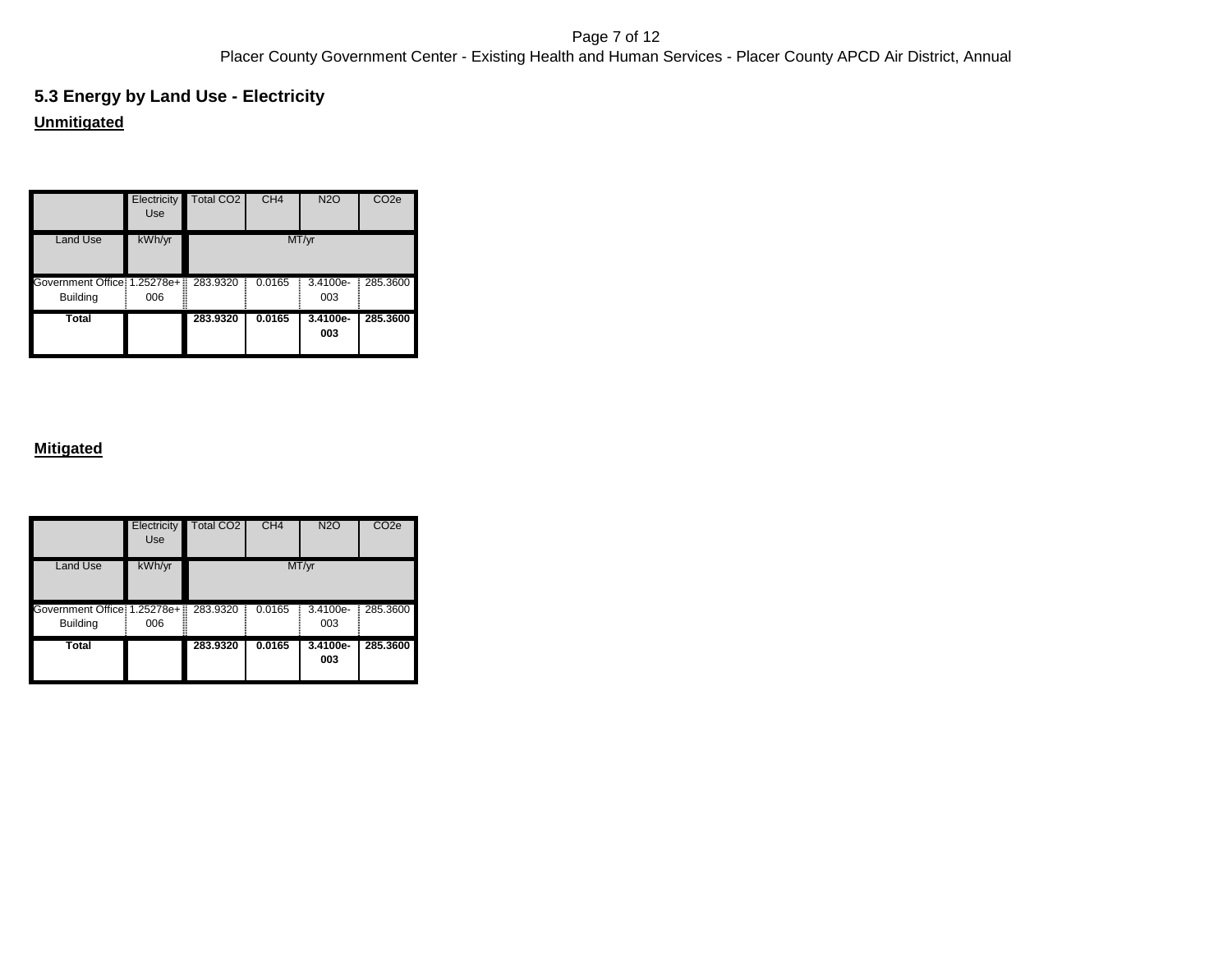#### Page 7 of 12 Placer County Government Center - Existing Health and Human Services - Placer County APCD Air District, Annual

# **Unmitigated 5.3 Energy by Land Use - Electricity**

|                                                          | Electricity<br>Use | Total CO <sub>2</sub> | CH <sub>4</sub> | N <sub>2</sub> O | CO <sub>2e</sub> |
|----------------------------------------------------------|--------------------|-----------------------|-----------------|------------------|------------------|
| Land Use                                                 | kWh/yr             |                       |                 | MT/yr            |                  |
| Government Office: 1.25278e+ 283.9320<br><b>Building</b> | 006                | Ξ                     | 0.0165          | 3.4100e-<br>003  | 285.3600         |
| <b>Total</b>                                             |                    | 283.9320              | 0.0165          | 3.4100e-<br>003  | 285.3600         |

|                                                           | <b>Electricity</b><br>Use | Total CO <sub>2</sub> | CH <sub>4</sub> | <b>N2O</b>      | CO <sub>2e</sub> |
|-----------------------------------------------------------|---------------------------|-----------------------|-----------------|-----------------|------------------|
| Land Use                                                  | kWh/yr                    |                       |                 | MT/yr           |                  |
| Government Office: 1.25278e+: 283.9320<br><b>Building</b> | 006                       |                       | 0.0165<br>Ξ     | 3.4100e-<br>003 | 285.3600         |
| <b>Total</b>                                              |                           | 283.9320              | 0.0165          | 3.4100e-<br>003 | 285.3600         |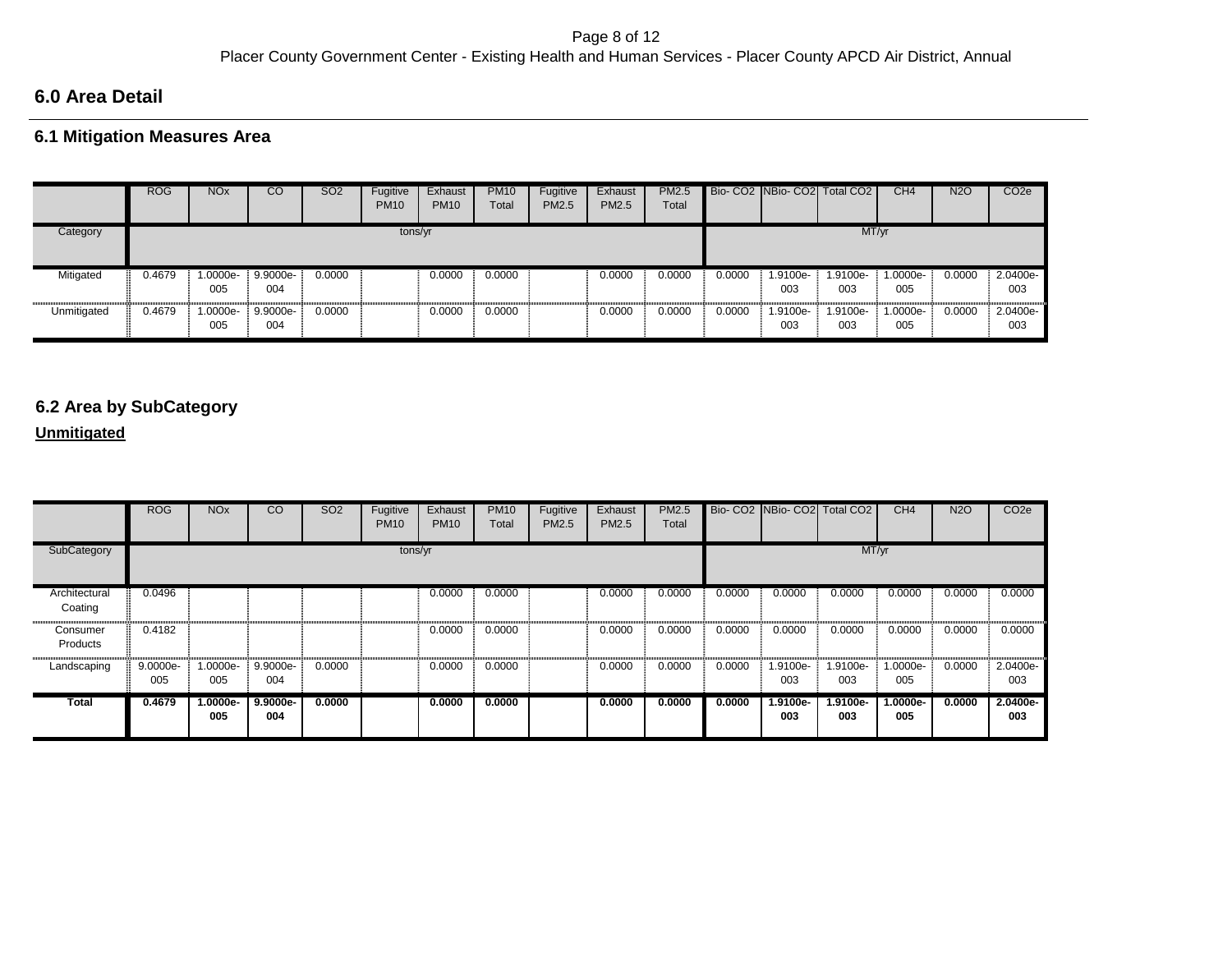## **6.0 Area Detail**

### **6.1 Mitigation Measures Area**

|             | <b>ROG</b> | <b>NO<sub>x</sub></b> | CO                | <b>SO2</b> | Fugitive<br><b>PM10</b> | Exhaust<br><b>PM10</b> | <b>PM10</b><br>Total | Fugitive<br><b>PM2.5</b> | Exhaust<br><b>PM2.5</b> | <b>PM2.5</b><br>Total |        |                 | Bio- CO2 NBio- CO2 Total CO2 | CH4             | <b>N2O</b> | CO <sub>2e</sub> |
|-------------|------------|-----------------------|-------------------|------------|-------------------------|------------------------|----------------------|--------------------------|-------------------------|-----------------------|--------|-----------------|------------------------------|-----------------|------------|------------------|
| Category    |            |                       |                   |            | tons/yr                 |                        |                      |                          |                         |                       |        |                 | MT/yr                        |                 |            |                  |
| Mitigated   | 0.4679     | $.0000e-$<br>005      | $9.9000e-$<br>004 | 0.0000     |                         | 0.0000                 | 0.0000               |                          | 0.0000                  | 0.0000                | 0.0000 | 1.9100e-<br>003 | 1.9100e-<br>003              | 1.0000e-<br>005 | 0.0000     | 2.0400e-<br>003  |
| Unmitigated | 0.4679     | 1.0000e-<br>005       | 9.9000e-<br>004   | 0.0000     |                         | 0.0000                 | 0.0000               |                          | 0.0000                  | 0.0000                | 0.0000 | -.9100e<br>003  | 1.9100e-<br>003              | 1.0000e-<br>005 | 0.0000     | 2.0400e-<br>003  |

# **6.2 Area by SubCategory**

### **Unmitigated**

|                          | <b>ROG</b>      | <b>NO<sub>x</sub></b> | $\overline{c}$    | <b>SO2</b> | Fugitive<br><b>PM10</b> | Exhaust<br><b>PM10</b> | <b>PM10</b><br>Total | Fugitive<br>PM2.5 | Exhaust<br>PM2.5 | <b>PM2.5</b><br>Total |        |                 | Bio- CO2 NBio- CO2 Total CO2 | CH <sub>4</sub> | <b>N2O</b> | CO <sub>2e</sub> |
|--------------------------|-----------------|-----------------------|-------------------|------------|-------------------------|------------------------|----------------------|-------------------|------------------|-----------------------|--------|-----------------|------------------------------|-----------------|------------|------------------|
| SubCategory              |                 |                       |                   |            | tons/yr                 |                        |                      |                   |                  |                       |        |                 | MT/yr                        |                 |            |                  |
| Architectural<br>Coating | 0.0496          |                       |                   |            |                         | 0.0000                 | 0.0000               |                   | 0.0000           | 0.0000                | 0.0000 | 0.0000          | 0.0000                       | 0.0000          | 0.0000     | 0.0000           |
| Consumer<br>Products     | 0.4182          |                       |                   |            |                         | 0.0000                 | 0.0000               |                   | 0.0000           | 0.0000                | 0.0000 | 0.0000          | 0.0000                       | 0.0000          | 0.0000     | 0.0000           |
| Landscaping              | 9.0000e-<br>005 | 1.0000e-<br>005       | 9.9000e-<br>004   | 0.0000     |                         | 0.0000                 | 0.0000               |                   | 0.0000           | 0.0000                | 0.0000 | 1.9100e-<br>003 | 1.9100e-<br>003              | 1.0000e-<br>005 | 0.0000     | 2.0400e-<br>003  |
| Total                    | 0.4679          | 1.0000e-<br>005       | $9.9000e-$<br>004 | 0.0000     |                         | 0.0000                 | 0.0000               |                   | 0.0000           | 0.0000                | 0.0000 | 1.9100e-<br>003 | 1.9100e-<br>003              | 1.0000e-<br>005 | 0.0000     | 2.0400e-<br>003  |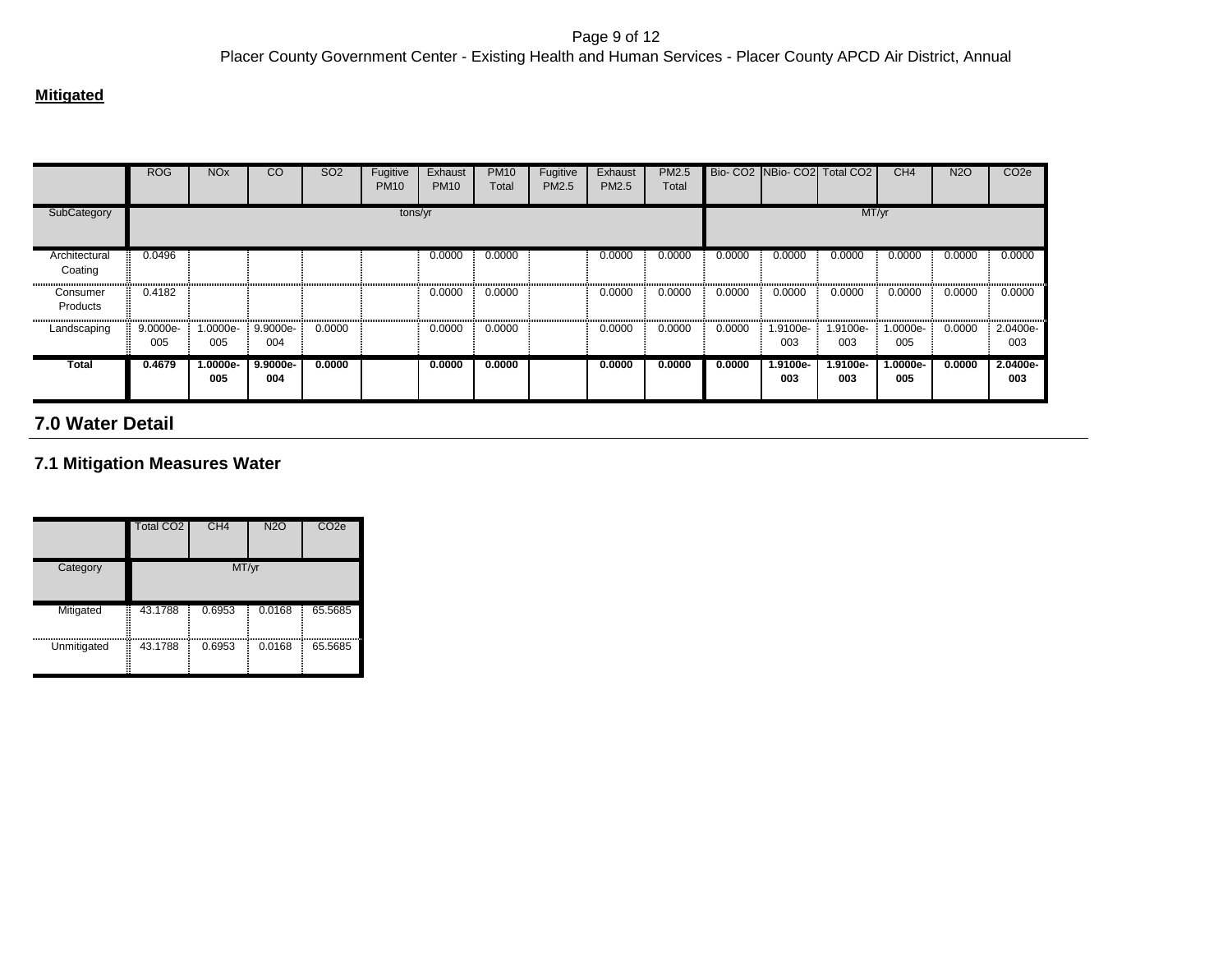#### **Mitigated**

|                          | <b>ROG</b>      | <b>NO<sub>x</sub></b> | CO                | SO <sub>2</sub> | Fugitive<br><b>PM10</b> | Exhaust<br><b>PM10</b> | <b>PM10</b><br>Total | Fugitive<br>PM2.5 | Exhaust<br>PM2.5 | <b>PM2.5</b><br>Total |        |                 | Bio-CO2 INBio-CO2I Total CO2 I | CH <sub>4</sub> | <b>N2O</b> | CO <sub>2e</sub> |
|--------------------------|-----------------|-----------------------|-------------------|-----------------|-------------------------|------------------------|----------------------|-------------------|------------------|-----------------------|--------|-----------------|--------------------------------|-----------------|------------|------------------|
| SubCategory              |                 |                       |                   |                 | tons/yr                 |                        |                      |                   |                  |                       |        |                 | MT/yr                          |                 |            |                  |
| Architectural<br>Coating | 0.0496          |                       |                   |                 |                         | 0.0000                 | 0.0000               |                   | 0.0000           | 0.0000                | 0.0000 | 0.0000          | 0.0000                         | 0.0000          | 0.0000     | 0.0000           |
| Consumer<br>Products     | 0.4182          |                       |                   |                 |                         | 0.0000                 | 0.0000               |                   | 0.0000           | 0.0000                | 0.0000 | 0.0000          | 0.0000                         | 0.0000          | 0.0000     | 0.0000           |
| Landscaping              | 9.0000e-<br>005 | 1.0000e-<br>005       | 9.9000e-<br>004   | 0.0000          |                         | 0.0000                 | 0.0000               |                   | 0.0000           | 0.0000                | 0.0000 | 1.9100e-<br>003 | 1.9100e-<br>003                | 1.0000e-<br>005 | 0.0000     | 2.0400e-<br>003  |
| Total                    | 0.4679          | $1.0000e-$<br>005     | $9.9000e-$<br>004 | 0.0000          |                         | 0.0000                 | 0.0000               |                   | 0.0000           | 0.0000                | 0.0000 | 1.9100e-<br>003 | 1.9100e-<br>003                | 1.0000e-<br>005 | 0.0000     | 2.0400e-<br>003  |

# **7.0 Water Detail**

### **7.1 Mitigation Measures Water**

|                  | <b>Total CO2</b> | CH <sub>4</sub> | <b>N2O</b> | CO <sub>2e</sub> |
|------------------|------------------|-----------------|------------|------------------|
| Category         |                  | MT/yr           |            |                  |
| Ē<br>Mitigated   | 43.1788          | 0.6953          | 0.0168     | 65.5685          |
| Ē<br>Unmitigated | 43.1788          | 0.6953          | 0.0168     | 65.5685          |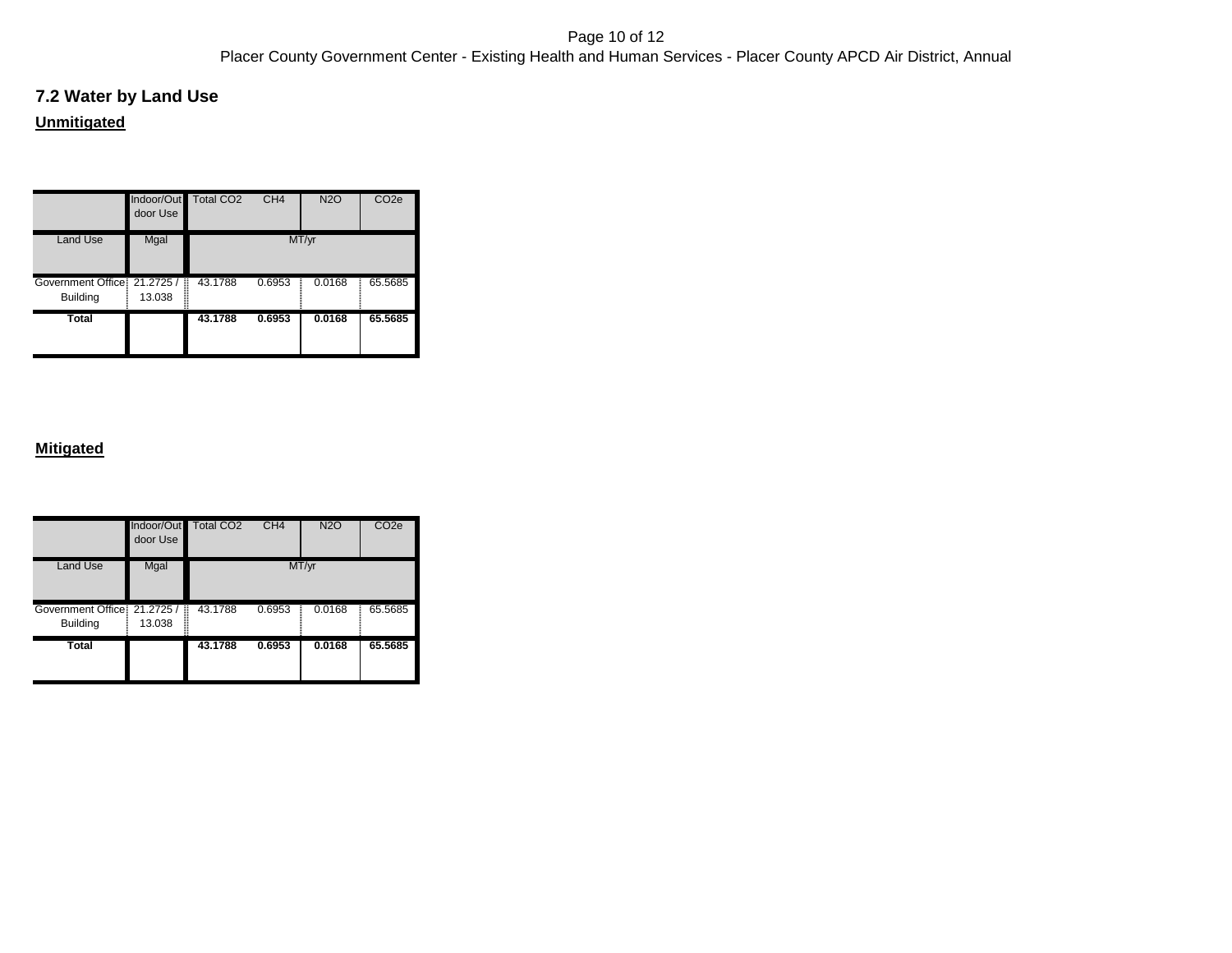#### Page 10 of 12 Placer County Government Center - Existing Health and Human Services - Placer County APCD Air District, Annual

# **7.2 Water by Land Use Unmitigated**

|                                                 | Indoor/Out<br>door Use | Total CO <sub>2</sub> | CH <sub>4</sub> | <b>N2O</b>  | CO <sub>2e</sub> |
|-------------------------------------------------|------------------------|-----------------------|-----------------|-------------|------------------|
| <b>Land Use</b>                                 | Mgal                   |                       |                 | MT/yr       |                  |
| Government Office: 21.2725 /<br><b>Building</b> | Ī<br>13.038            | 43.1788               | 0.6953          | 0.0168<br>Ξ | 65.5685          |
| <b>Total</b>                                    |                        | 43.1788               | 0.6953          | 0.0168      | 65.5685          |

|                                                 | door Use    | Indoor/Out Total CO2 | CH <sub>4</sub> | <b>N2O</b> | CO <sub>2e</sub> |
|-------------------------------------------------|-------------|----------------------|-----------------|------------|------------------|
| <b>Land Use</b>                                 | Mgal        |                      |                 | MT/yr      |                  |
| Government Office: 21.2725 /<br><b>Building</b> | B<br>13.038 | 43.1788              | 0.6953          | 0.0168     | 65.5685          |
| <b>Total</b>                                    |             | 43.1788              | 0.6953          | 0.0168     | 65.5685          |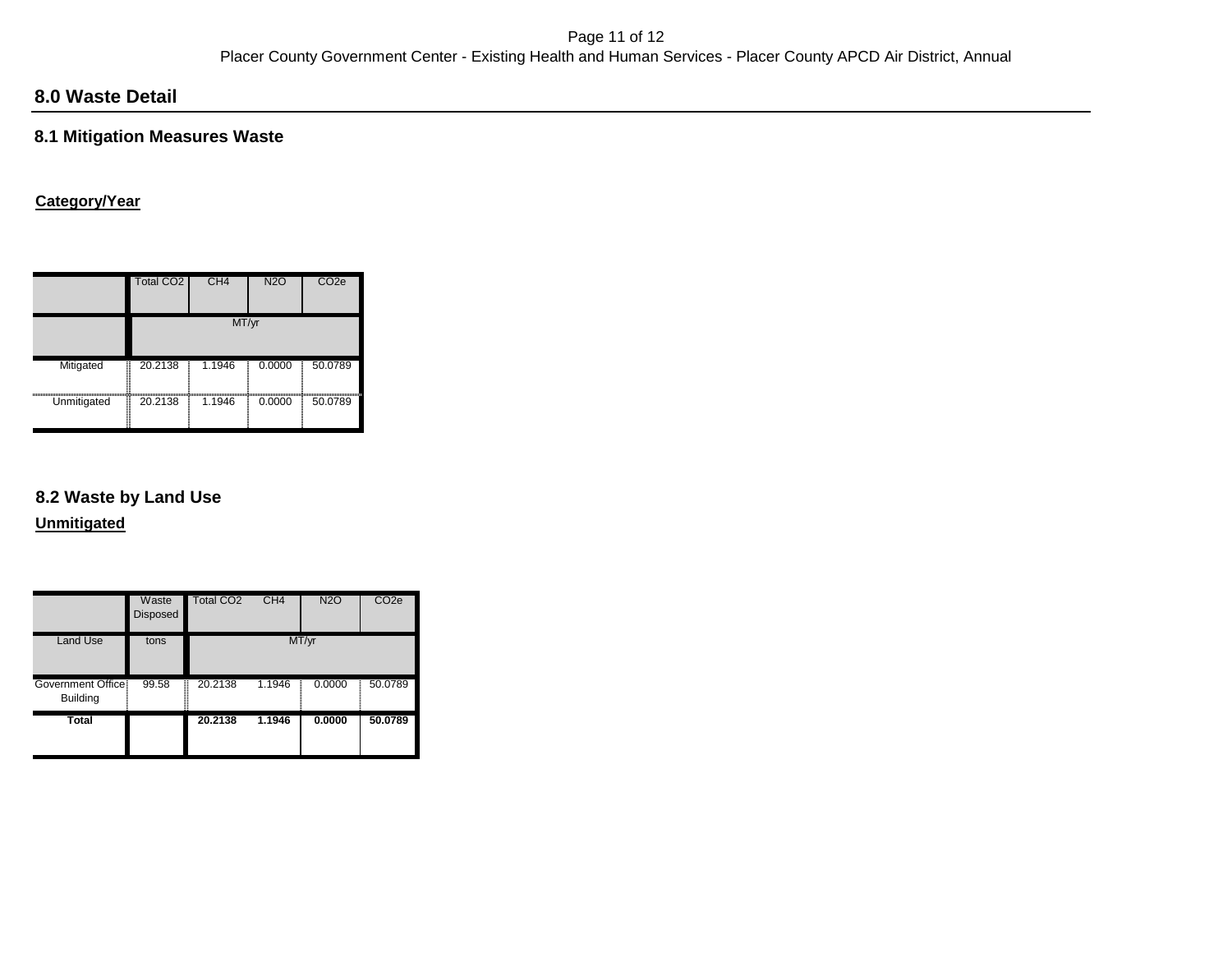# **8.0 Waste Detail**

### **8.1 Mitigation Measures Waste**

### **Category/Year**

|             | Total CO <sub>2</sub> | CH <sub>4</sub> | <b>N2O</b> | CO <sub>2e</sub> |
|-------------|-----------------------|-----------------|------------|------------------|
|             |                       | MT/yr           |            |                  |
| Mitigated   | 20.2138<br>l          | 1.1946          | 0.0000     | 50.0789          |
| Unmitigated | Ē<br>20.2138          | 1.1946          | 0.0000     | 50.0789          |

## **8.2 Waste by Land Use**

**Unmitigated**

|                                      | Waste<br><b>Disposed</b> | <b>Total CO2</b> | CH <sub>4</sub> | <b>N2O</b> | CO <sub>2e</sub> |
|--------------------------------------|--------------------------|------------------|-----------------|------------|------------------|
| <b>Land Use</b>                      | tons                     |                  |                 | MT/yr      |                  |
| Government Office<br><b>Building</b> | 99.58                    | 20.2138<br>B     | 1.1946          | 0.0000     | 50.0789          |
| Total                                |                          | 20.2138          | 1.1946          | 0.0000     | 50.0789          |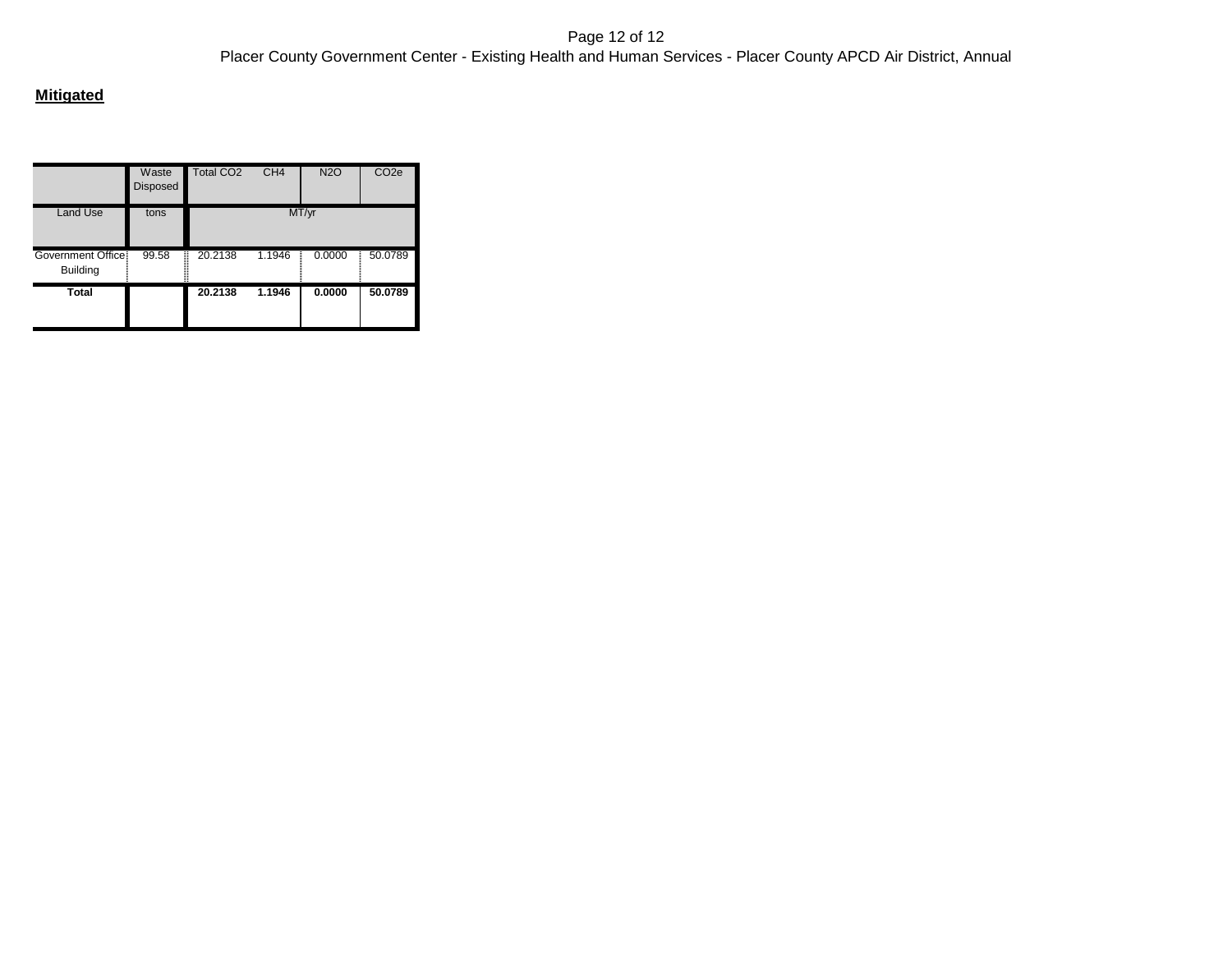|                                      | Waste<br><b>Disposed</b> | <b>Total CO2</b> | CH <sub>4</sub> | <b>N2O</b> | CO <sub>2e</sub> |
|--------------------------------------|--------------------------|------------------|-----------------|------------|------------------|
| <b>Land Use</b>                      | tons                     |                  |                 | MT/yr      |                  |
| Government Office<br><b>Building</b> | 99.58                    | Ī<br>20.2138     | 1.1946          | 0.0000     | 50.0789          |
| Total                                |                          | 20.2138          | 1.1946          | 0.0000     | 50.0789          |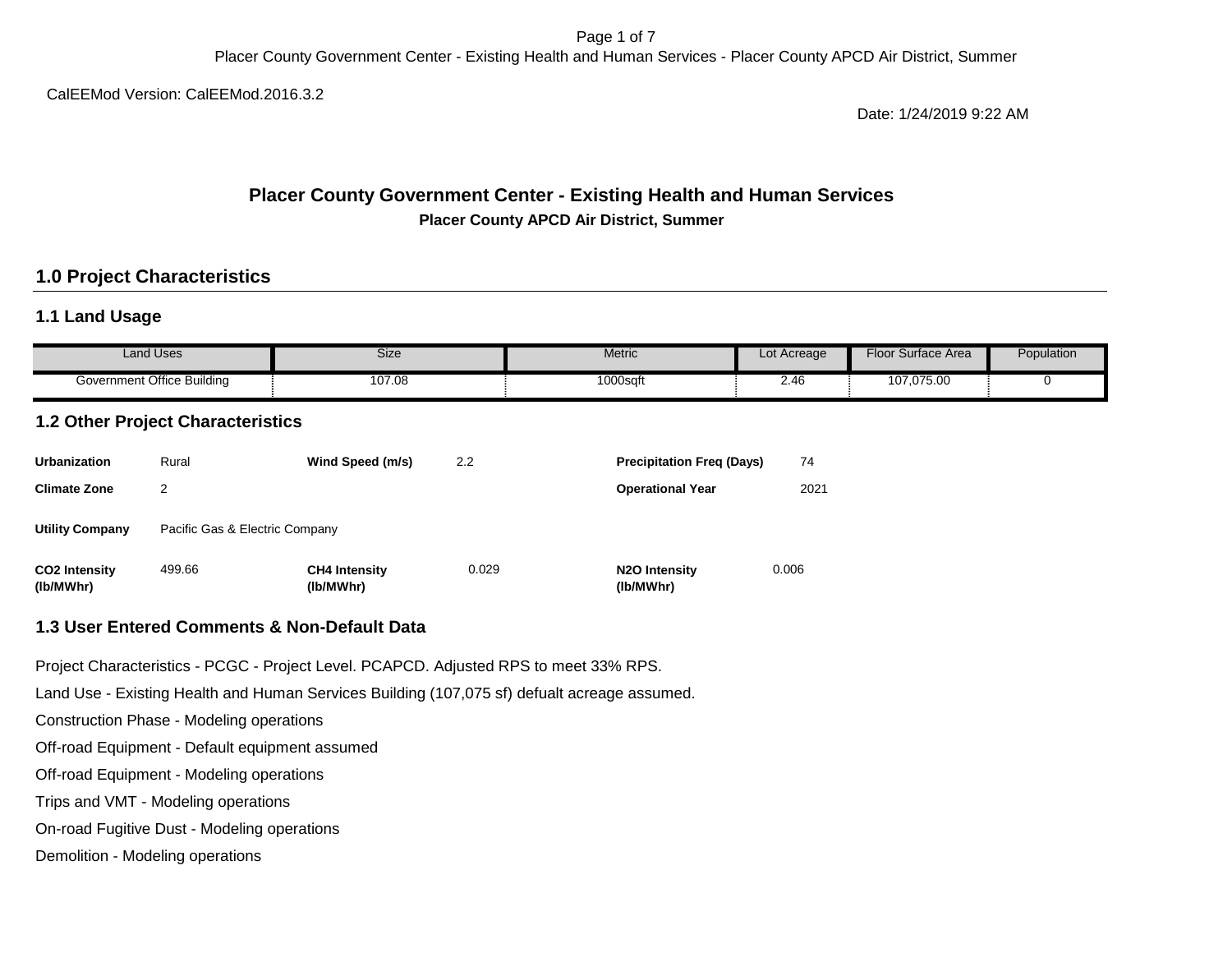Page 1 of 7 Placer County Government Center - Existing Health and Human Services - Placer County APCD Air District, Summer

CalEEMod Version: CalEEMod.2016.3.2

Date: 1/24/2019 9:22 AM

### **Placer County Government Center - Existing Health and Human Services Placer County APCD Air District, Summer**

## **1.0 Project Characteristics**

### **1.1 Land Usage**

| Land Uses                  | <b>Size</b> | Metric      | Lot Acreage | Floor<br>Surface Area | Population |
|----------------------------|-------------|-------------|-------------|-----------------------|------------|
| Government Office Building | 107.08      | $1000$ sqfu | . .<br>2.40 | 107,075.00            |            |

# **1.2 Other Project Characteristics**

| <b>Urbanization</b>               | Rural                          | Wind Speed (m/s)                  | 2.2   | <b>Precipitation Freg (Days)</b>        | 74    |
|-----------------------------------|--------------------------------|-----------------------------------|-------|-----------------------------------------|-------|
| <b>Climate Zone</b>               | 2                              |                                   |       | <b>Operational Year</b>                 | 2021  |
| <b>Utility Company</b>            | Pacific Gas & Electric Company |                                   |       |                                         |       |
| <b>CO2 Intensity</b><br>(lb/MWhr) | 499.66                         | <b>CH4 Intensity</b><br>(lb/MWhr) | 0.029 | N <sub>2</sub> O Intensity<br>(lb/MWhr) | 0.006 |

#### **1.3 User Entered Comments & Non-Default Data**

Project Characteristics - PCGC - Project Level. PCAPCD. Adjusted RPS to meet 33% RPS.

Land Use - Existing Health and Human Services Building (107,075 sf) defualt acreage assumed.

Construction Phase - Modeling operations

Off-road Equipment - Default equipment assumed

Off-road Equipment - Modeling operations

Trips and VMT - Modeling operations

On-road Fugitive Dust - Modeling operations

Demolition - Modeling operations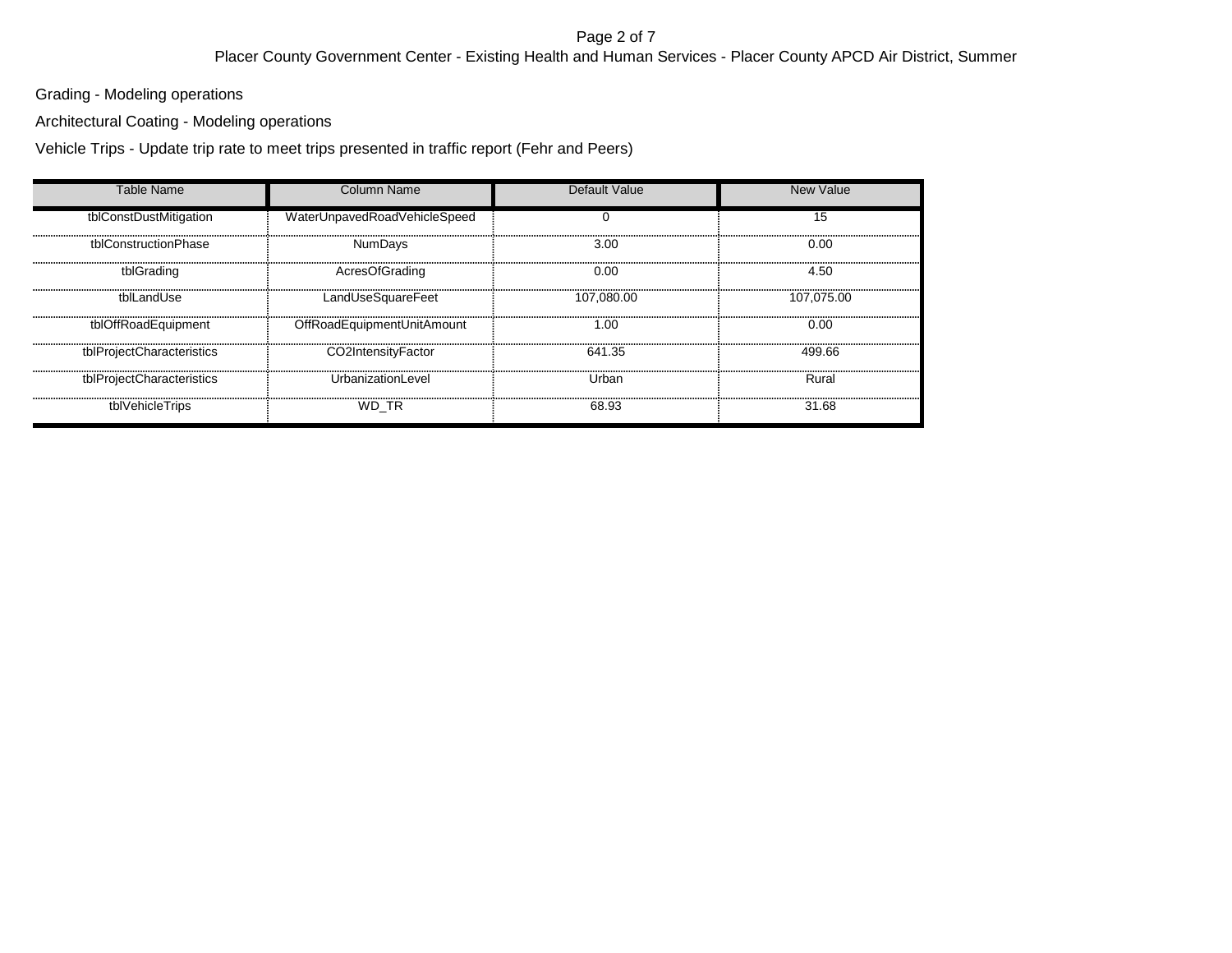#### Page 2 of 7 Placer County Government Center - Existing Health and Human Services - Placer County APCD Air District, Summer

Grading - Modeling operations

Architectural Coating - Modeling operations

Vehicle Trips - Update trip rate to meet trips presented in traffic report (Fehr and Peers)

| <b>Table Name</b>         | Column Name                  | Default Value | New Value  |
|---------------------------|------------------------------|---------------|------------|
| tblConstDustMitigation    | WaterUnpavedRoadVehicleSpeed | 0             | 15         |
| tblConstructionPhase      | <b>NumDays</b>               | 3.00          | 0.00       |
| tblGrading                | AcresOfGrading               | 0.00          | 4.50       |
| tblLandUse                | LandUseSquareFeet            | 107.080.00    | 107.075.00 |
| tblOffRoadEquipment       | OffRoadEquipmentUnitAmount   | 1.00          | 0.00       |
| tblProjectCharacteristics | CO2IntensityFactor           | 641.35        | 499.66     |
| tblProjectCharacteristics | UrbanizationLevel            | Urban         | Rural      |
| tblVehicleTrips           | WD_TR                        | 68.93         | 31.68      |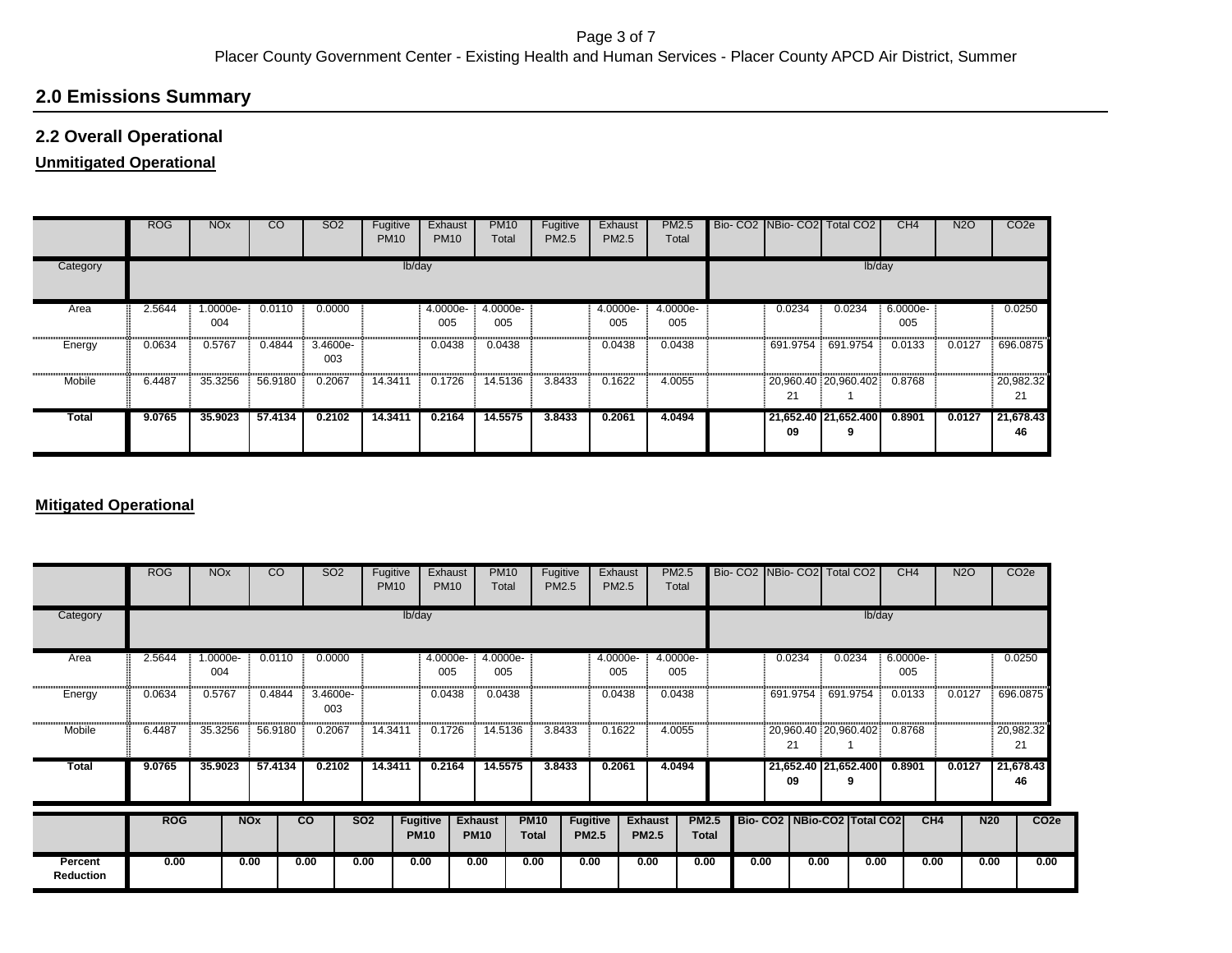# **2.0 Emissions Summary**

### **2.2 Overall Operational**

### **Unmitigated Operational**

|              | <b>ROG</b> | <b>NO<sub>x</sub></b> | $\overline{c}$ | <b>SO2</b>      | Fugitive<br><b>PM10</b> | Exhaust<br><b>PM10</b> | <b>PM10</b><br>Total | Fugitive<br>PM2.5 | Exhaust<br><b>PM2.5</b> | <b>PM2.5</b><br>Total |          | Bio- CO2 NBio- CO2 Total CO2 | CH4             | <b>N2O</b> | CO <sub>2</sub> e |
|--------------|------------|-----------------------|----------------|-----------------|-------------------------|------------------------|----------------------|-------------------|-------------------------|-----------------------|----------|------------------------------|-----------------|------------|-------------------|
| Category     |            |                       |                |                 | lb/day                  |                        |                      |                   |                         |                       |          | lb/day                       |                 |            |                   |
| Area         | 2.5644     | --0000e.l<br>004      | 0.0110         | 0.0000          |                         | 4.0000e-<br>005        | 4.0000e-<br>005      |                   | 4.0000e-<br>005         | 4.0000e-<br>005       | 0.0234   | 0.0234                       | 6.0000e-<br>005 |            | 0.0250            |
| Energy       | 0.0634     | 0.5767                | 0.4844         | 3.4600e-<br>003 |                         | 0.0438                 | 0.0438               |                   | 0.0438                  | 0.0438                | 691.9754 | 691.9754                     | 0.0133          | 0.0127     | 696.0875          |
| Mobile       | 6.4487     | 35.3256               | 56.9180        | 0.2067          | 14.3411                 | 0.1726                 | 14.5136              | 3.8433            | 0.1622                  | 4.0055                | 21       | 20,960.40 20,960.402         | 0.8768          |            | 20,982.32<br>21   |
| <b>Total</b> | 9.0765     | 35,9023               | 57.4134        | 0.2102          | 14.3411                 | 0.2164                 | 14.5575              | 3.8433            | 0.2061                  | 4.0494                | 09       | 21,652.40 21,652.400<br>9    | 0.8901          | 0.0127     | 21,678.43<br>46   |

#### **Mitigated Operational**

|                             | <b>ROG</b> | <b>NO<sub>x</sub></b> | CO.        | SO <sub>2</sub> | Fugitive<br><b>PM10</b> |                                | Exhaust<br><b>PM10</b> | <b>PM10</b><br>Total          | Fugitive<br>PM2.5           |                                 | Exhaust<br>PM2.5               | <b>PM2.5</b><br>Total |                              |      |          | Bio- CO2 NBio- CO2 Total CO2    |        | CH4             | <b>N2O</b> | CO <sub>2</sub> e              |
|-----------------------------|------------|-----------------------|------------|-----------------|-------------------------|--------------------------------|------------------------|-------------------------------|-----------------------------|---------------------------------|--------------------------------|-----------------------|------------------------------|------|----------|---------------------------------|--------|-----------------|------------|--------------------------------|
| Category                    |            |                       |            |                 |                         | lb/day                         |                        |                               |                             |                                 |                                |                       |                              |      |          |                                 | lb/day |                 |            |                                |
| Area                        | 2.5644     | 1.0000e-<br>004       | 0.0110     | 0.0000          |                         |                                | 4.0000e-<br>005        | 4.0000e-<br>005               |                             |                                 | 4.0000e-<br>005                | 4.0000e-<br>005       |                              |      | 0.0234   | 0.0234                          |        | 6.0000e-<br>005 |            | 0.0250                         |
| Energy                      | 0.0634     | 0.5767                | 0.4844     | 3.4600e-<br>003 |                         |                                | 0.0438                 | 0.0438                        |                             |                                 | 0.0438                         | 0.0438                |                              |      | 691.9754 | 691.9754                        |        | 0.0133          | 0.0127     | 696.0875                       |
| Mobile                      | 6.4487     | 35.3256               | 56.9180    | 0.2067          | 14.3411                 |                                | 0.1726                 | 14.5136                       | 3.8433                      |                                 | 0.1622                         | 4.0055                |                              |      | 21       | 20,960.40 20,960.402            |        | 0.8768          |            | 20,982.32<br>21                |
| <b>Total</b>                | 9.0765     | 35.9023               | 57.4134    | 0.2102          | 14.3411                 |                                | 0.2164                 | 14.5575                       | 3.8433                      |                                 | 0.2061                         | 4.0494                |                              |      | 09       | 21,652.40 21,652.400<br>9       |        | 0.8901          | 0.0127     | 21,678.43<br>46                |
|                             | <b>ROG</b> |                       | <b>NOx</b> | $\overline{c}$  | <b>SO2</b>              | <b>Fugitive</b><br><b>PM10</b> |                        | <b>Exhaust</b><br><b>PM10</b> | <b>PM10</b><br><b>Total</b> | <b>Fugitive</b><br><b>PM2.5</b> | <b>Exhaust</b><br><b>PM2.5</b> |                       | <b>PM2.5</b><br><b>Total</b> |      |          | Bio- CO2   NBio-CO2   Total CO2 |        | CH4             |            | <b>N20</b><br>CO <sub>2e</sub> |
| Percent<br><b>Reduction</b> | 0.00       |                       | 0.00       | 0.00            | 0.00                    | 0.00                           |                        | 0.00                          | 0.00                        | 0.00                            | 0.00                           |                       | 0.00                         | 0.00 | 0.00     |                                 | 0.00   | 0.00            |            | 0.00<br>0.00                   |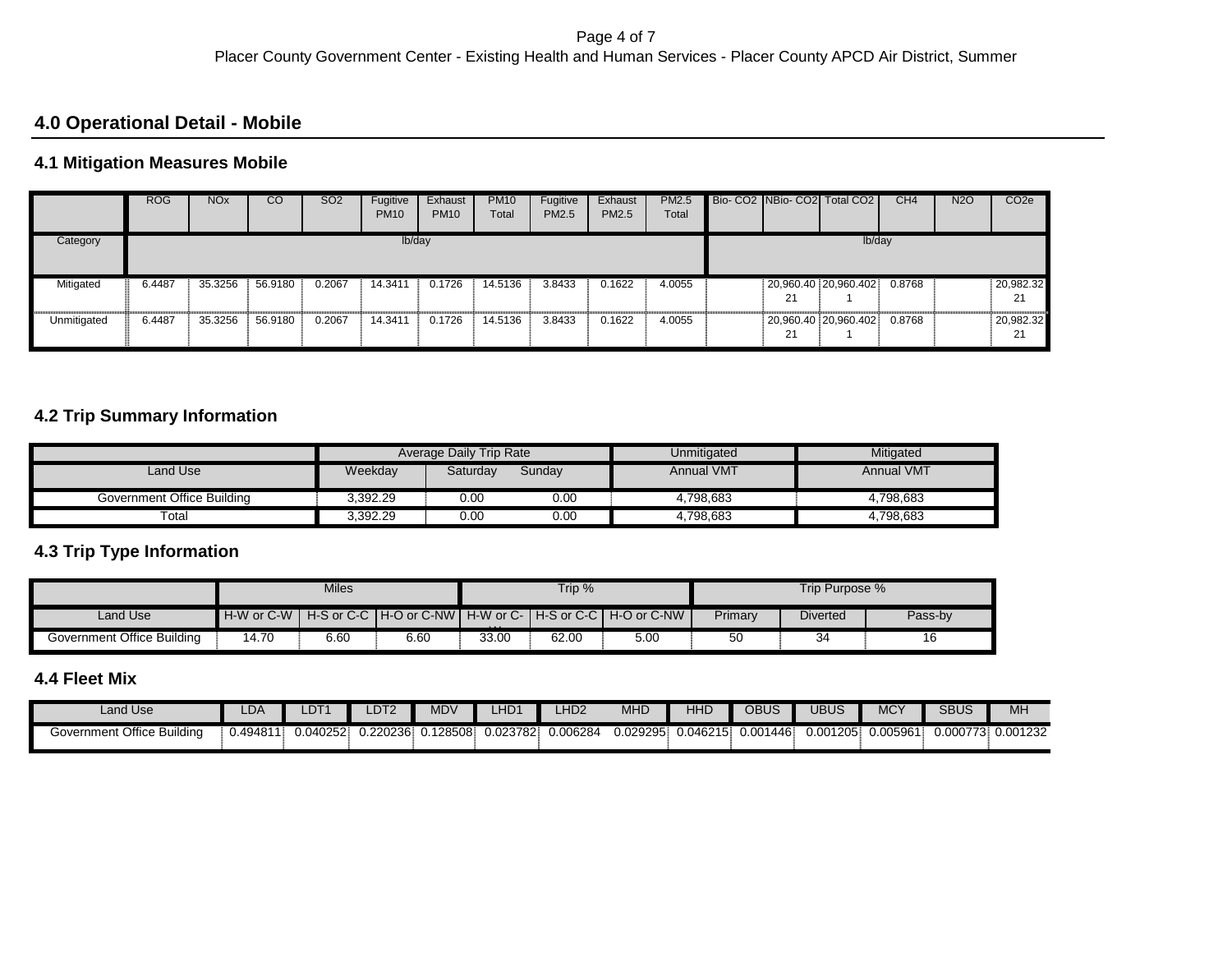### **4.0 Operational Detail - Mobile**

### **4.1 Mitigation Measures Mobile**

|             | <b>ROG</b> | <b>NO<sub>x</sub></b> | CO      | SO <sub>2</sub> | Fugitive<br><b>PM10</b> | Exhaust<br><b>PM10</b> | <b>PM10</b><br>Total | Fugitive<br>PM2.5 | Exhaust<br>PM2.5 | <b>PM2.5</b><br>Total |    | Bio-CO2 NBio-CO2 Total CO2 | CH <sub>4</sub> | <b>N2O</b> | CO <sub>2</sub> e |
|-------------|------------|-----------------------|---------|-----------------|-------------------------|------------------------|----------------------|-------------------|------------------|-----------------------|----|----------------------------|-----------------|------------|-------------------|
| Category    |            |                       |         |                 | lb/day                  |                        |                      |                   |                  |                       |    | lb/day                     |                 |            |                   |
| Mitigated   | 6.4487     | 35.3256               | 56.9180 | 0.2067          | 14.3411                 | 0.1726                 | 14.5136              | 3.8433            | 0.1622           | 4.0055                | 21 | 20,960.40 20,960.402       | 0.8768          |            | 20,982.32<br>21   |
| Unmitigated | 6.4487     | 35.3256               | 56.9180 | 0.2067          | 14.3411                 | 0.1726                 | 14.5136              | 3.8433            | 0.1622           | 4.0055                | 21 | 20,960.40 20,960.402       | 0.8768          |            | 20,982.32<br>21   |

### **4.2 Trip Summary Information**

|                             |          | Average Daily Trip Rate |        | Unmitigated       | Mitigated  |
|-----------------------------|----------|-------------------------|--------|-------------------|------------|
| Land Use                    | Weekday  | Saturdav                | Sunday | <b>Annual VMT</b> | Annual VMT |
| Government Office Building  | 3.392.29 | 0.00                    | 0.00   | 4.798.683         | 4.798.683  |
| $\overline{\mathrm{total}}$ | 3.392.29 | 0.00                    | 0.00   | 4.798.683         | 4.798.683  |

### **4.3 Trip Type Information**

|                            |                | <b>Miles</b> |      |          | Trip % |                                                             |         | Trip Purpose %  |         |
|----------------------------|----------------|--------------|------|----------|--------|-------------------------------------------------------------|---------|-----------------|---------|
| Land Use                   | $H-W$ or $C-W$ |              |      | $\cdots$ |        | H-S or C-C TH-O or C-NWT H-W or C-TH-S or C-C TH-O or C-NWT | Primary | <b>Diverted</b> | Pass-by |
| Government Office Building | 14.70          | 6.60         | 6.60 | 33.00    | 62.00  | 5.00                                                        |         | 34              |         |

# **4.4 Fleet Mix**

| Land Use                      | LDA      | $\Gamma$<br>∠∪ ⊦ | DT <sub>2</sub> | <b>MDV</b> | 11D <sub>2</sub> | HD <sub>2</sub> | <b>MHD</b> | 11.15<br>76L | OBUS              | JBUS               | <b>MCY</b>           | SBUS             | MH       |
|-------------------------------|----------|------------------|-----------------|------------|------------------|-----------------|------------|--------------|-------------------|--------------------|----------------------|------------------|----------|
| Office Building<br>Government | ∪.49481′ | 0.040252         | J.220236        | 128508     | 0.023782         | J.006284        | 0.029295   | 0.046215     | 1446.<br>$0.00^*$ | - 001205. <i>د</i> | 0.00596 <sup>4</sup> | 0.000773<br>. ت. | 0.001232 |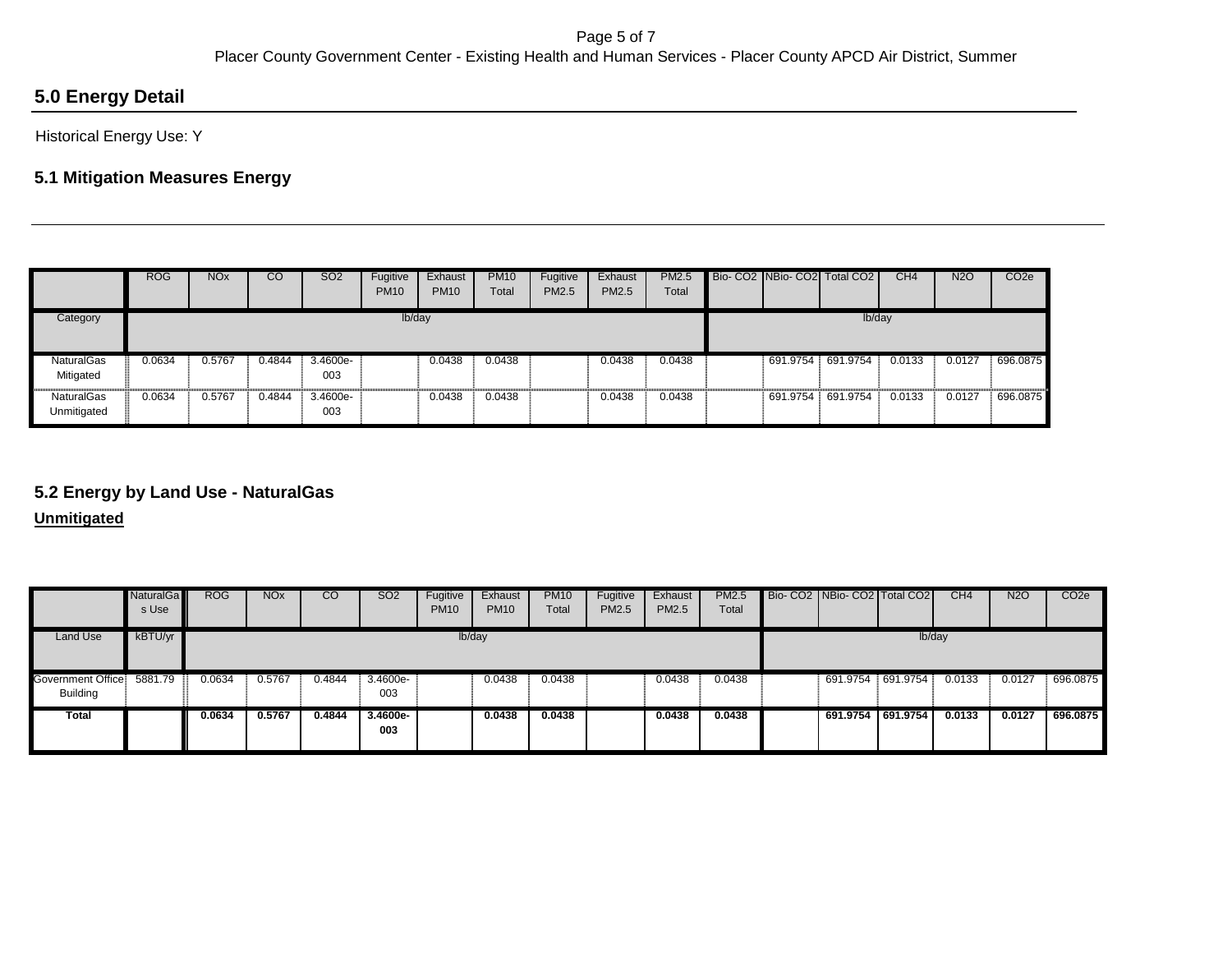# **5.0 Energy Detail**

Historical Energy Use: Y

# **5.1 Mitigation Measures Energy**

|                                  | <b>ROG</b> | <b>NO<sub>x</sub></b> | CO     | <b>SO2</b>      | Fugitive<br><b>PM10</b> | Exhaust<br><b>PM10</b> | <b>PM10</b><br>Total | Fugitive<br><b>PM2.5</b> | Exhaust<br><b>PM2.5</b> | <b>PM2.5</b><br>Total |                   | Bio- CO2 NBio- CO2 Total CO2 | CH <sub>4</sub> | <b>N2O</b> | CO <sub>2e</sub> |
|----------------------------------|------------|-----------------------|--------|-----------------|-------------------------|------------------------|----------------------|--------------------------|-------------------------|-----------------------|-------------------|------------------------------|-----------------|------------|------------------|
| Category                         |            |                       |        |                 | lb/day                  |                        |                      |                          |                         |                       |                   | lb/day                       |                 |            |                  |
| <b>NaturalGas</b><br>Mitigated   | 0.0634     | 0.5767                | 0.4844 | 3.4600e-<br>003 |                         | 0.0438                 | 0.0438               |                          | 0.0438                  | 0.0438                | 691.9754 691.9754 |                              | 0.0133          | 0.0127     | 696.0875         |
| <b>NaturalGas</b><br>Unmitigated | 0.0634     | 0.5767                | 0.4844 | 3.4600e-<br>003 |                         | 0.0438                 | 0.0438               |                          | 0.0438                  | 0.0438                | 691.9754          | 691.9754                     | 0.0133          | 0.0127     | 696.0875         |

### **5.2 Energy by Land Use - NaturalGas**

**Unmitigated**

|                                      | <b>NaturalGa</b><br>s Use | <b>ROG</b> | <b>NO<sub>x</sub></b> | CO     | SO <sub>2</sub> | <b>Fugitive</b><br><b>PM10</b> | Exhaust<br><b>PM10</b> | <b>PM10</b><br>Total | Fugitive<br>PM2.5 | Exhaust<br>PM2.5 | <b>PM2.5</b><br>Total | Bio- CO2   NBio- CO2   Total CO2 |        | CH <sub>4</sub> | N <sub>2</sub> O | CO <sub>2e</sub> |
|--------------------------------------|---------------------------|------------|-----------------------|--------|-----------------|--------------------------------|------------------------|----------------------|-------------------|------------------|-----------------------|----------------------------------|--------|-----------------|------------------|------------------|
| <b>Land Use</b>                      | kBTU/yr                   |            |                       |        |                 | lb/day                         |                        |                      |                   |                  |                       |                                  | lb/day |                 |                  |                  |
| Government Office<br><b>Building</b> | 5881.79                   | 0.0634     | 0.5767                | 0.4844 | 3.4600e-<br>003 |                                | 0.0438                 | 0.0438               |                   | 0.0438           | 0.0438                | 691.9754 691.9754                |        | 0.0133          | 0.0127           | 696.0875         |
| Total                                |                           | 0.0634     | 0.5767                | 0.4844 | 3.4600e-<br>003 |                                | 0.0438                 | 0.0438               |                   | 0.0438           | 0.0438                | 691.9754 691.9754                |        | 0.0133          | 0.0127           | 696.0875         |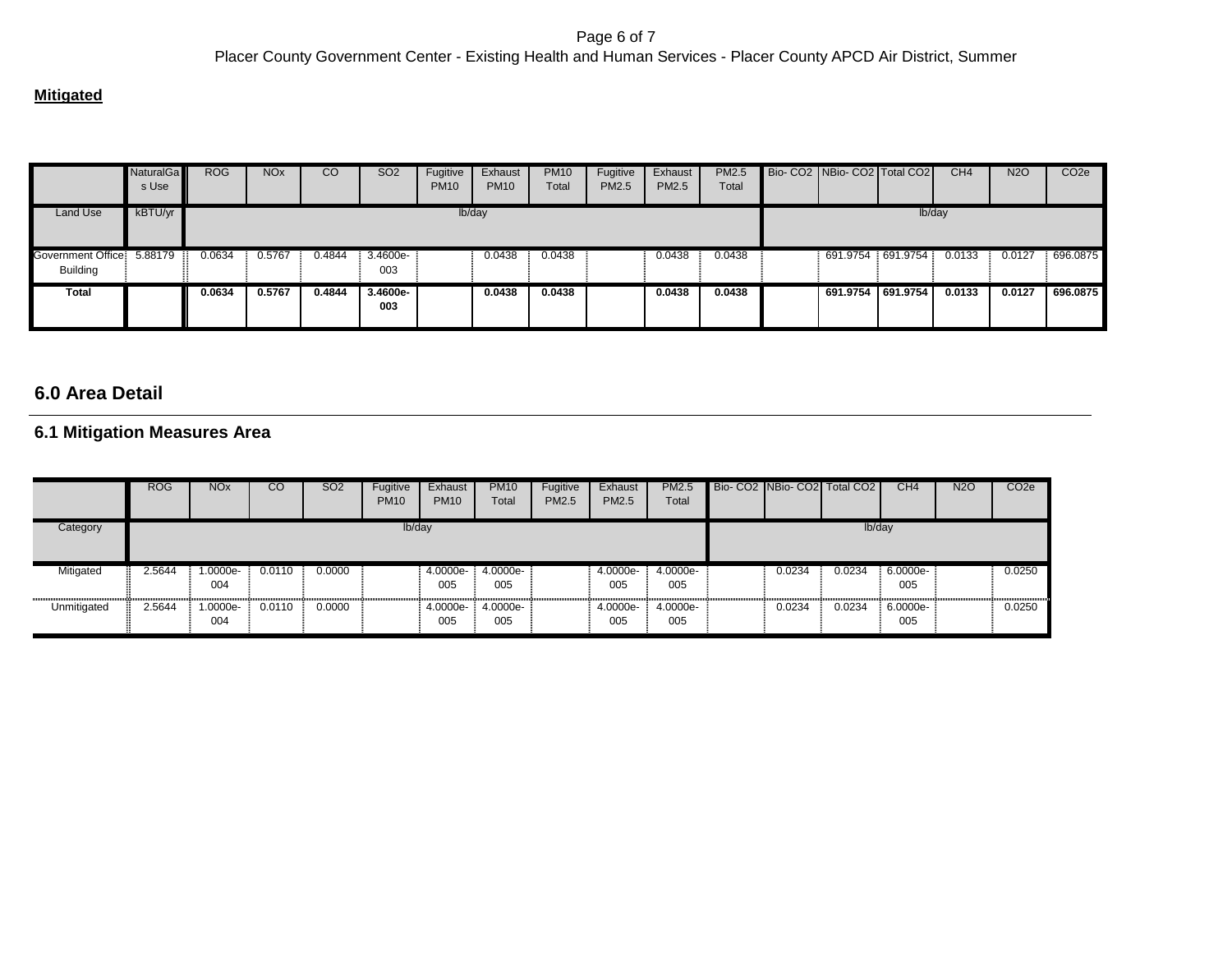#### **Mitigated**

|                                      | NaturalGa<br>s Use | <b>ROG</b> | NOx    | CO     | SO <sub>2</sub>   | Fugitive<br><b>PM10</b> | Exhaust<br><b>PM10</b> | <b>PM10</b><br>Total | Fugitive<br>PM2.5 | Exhaust<br>PM2.5 | PM2.5<br>Total | Bio- CO2   NBio- CO2   Total CO2 |          | CH <sub>4</sub> | N <sub>2</sub> O | CO <sub>2e</sub> |
|--------------------------------------|--------------------|------------|--------|--------|-------------------|-------------------------|------------------------|----------------------|-------------------|------------------|----------------|----------------------------------|----------|-----------------|------------------|------------------|
| Land Use                             | kBTU/yr            |            |        |        |                   |                         | lb/day                 |                      |                   |                  |                |                                  | Ib/day   |                 |                  |                  |
| Government Office<br><b>Building</b> | 5.88179            | 0.0634     | 0.5767 | 0.4844 | 3.4600e-<br>003   |                         | 0.0438                 | 0.0438               |                   | 0.0438           | 0.0438         | 691.9754                         | 691.9754 | 0.0133          | 0.0127           | 696.0875         |
| Total                                |                    | 0.0634     | 0.5767 | 0.4844 | $3.4600e-$<br>003 |                         | 0.0438                 | 0.0438               |                   | 0.0438           | 0.0438         | 691.9754 691.9754                |          | 0.0133          | 0.0127           | 696.0875         |

# **6.0 Area Detail**

### **6.1 Mitigation Measures Area**

|             | <b>ROG</b> | <b>NO<sub>x</sub></b> | CO     | <b>SO2</b> | Fugitive<br><b>PM10</b> | Exhaust<br><b>PM10</b> | <b>PM10</b><br>Total | Fugitive<br>PM2.5 | Exhaust<br><b>PM2.5</b> | <b>PM2.5</b><br>Total |        | Bio-CO2 NBio-CO2 Total CO2 | CH4             | N2O | CO <sub>2e</sub> |
|-------------|------------|-----------------------|--------|------------|-------------------------|------------------------|----------------------|-------------------|-------------------------|-----------------------|--------|----------------------------|-----------------|-----|------------------|
| Category    |            |                       |        |            | lb/day                  |                        |                      |                   |                         |                       |        | lb/day                     |                 |     |                  |
| Mitigated   | 2.5644     | -.0000e<br>004        | 0.0110 | 0.0000     |                         | 4.0000e-<br>005        | 4.0000e-<br>005      |                   | 4.0000e-<br>005         | 4.0000e-<br>005       | 0.0234 | 0.0234                     | 6.0000e-<br>005 |     | 0.0250           |
| Unmitigated | 2.5644     | --0000e<br>004        | 0.0110 | 0.0000     |                         | 4.0000e-<br>005        | 4.0000e-<br>005      |                   | 4.0000e-<br>005         | 4.0000e-<br>005       | 0.0234 | 0.0234                     | 6.0000e-<br>005 |     | 0.0250           |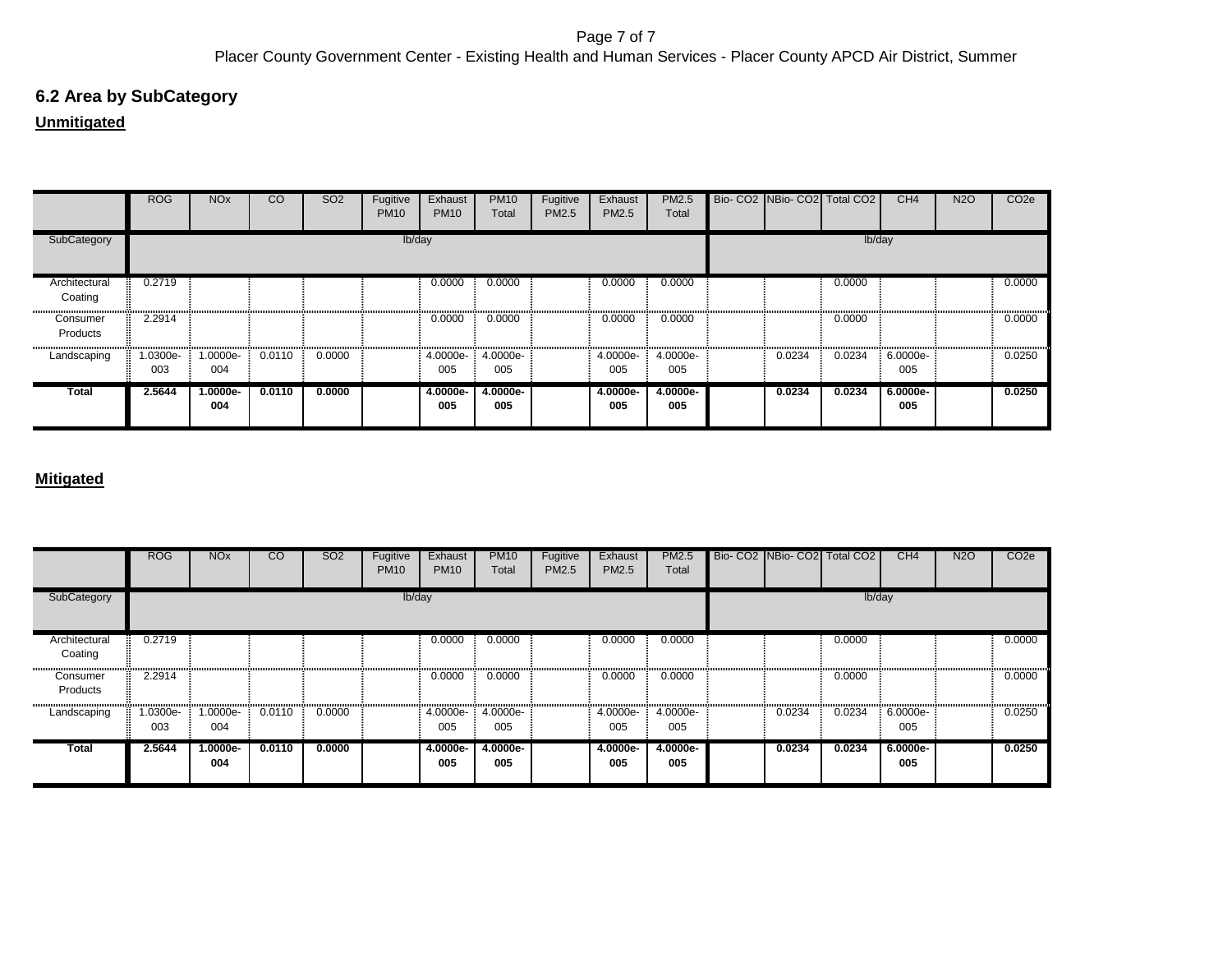# **6.2 Area by SubCategory**

# **Unmitigated**

|                          | <b>ROG</b>      | <b>NO<sub>x</sub></b> | CO     | SO <sub>2</sub> | Fugitive<br><b>PM10</b> | Exhaust<br><b>PM10</b> | <b>PM10</b><br>Total | Fugitive<br>PM2.5 | Exhaust<br>PM2.5 | PM2.5<br>Total  |        | Bio- CO2 NBio- CO2 Total CO2 | CH <sub>4</sub>   | <b>N2O</b> | CO <sub>2e</sub> |
|--------------------------|-----------------|-----------------------|--------|-----------------|-------------------------|------------------------|----------------------|-------------------|------------------|-----------------|--------|------------------------------|-------------------|------------|------------------|
| SubCategory              |                 |                       |        |                 | lb/day                  |                        |                      |                   |                  |                 |        | lb/day                       |                   |            |                  |
| Architectural<br>Coating | 0.2719          |                       |        |                 |                         | 0.0000                 | 0.0000               |                   | 0.0000           | 0.0000          |        | 0.0000                       |                   |            | 0.0000           |
| Consumer<br>Products     | 2.2914          |                       |        |                 |                         | 0.0000                 | 0.0000               |                   | 0.0000           | 0.0000          |        | 0.0000                       |                   |            | 0.0000           |
| Landscaping              | 1.0300e-<br>003 | 1.0000e-<br>004       | 0.0110 | 0.0000          |                         | 4.0000e-<br>005        | 4.0000e-<br>005      |                   | 4.0000e-<br>005  | 4.0000e-<br>005 | 0.0234 | 0.0234                       | 6.0000e-<br>005   |            | 0.0250           |
| Total                    | 2.5644          | $1.0000e-$<br>004     | 0.0110 | 0.0000          |                         | 4.0000e-<br>005        | 4.0000e-<br>005      |                   | 4.0000e-<br>005  | 4.0000e-<br>005 | 0.0234 | 0.0234                       | $6.0000e-$<br>005 |            | 0.0250           |

|                          | <b>ROG</b>      | <b>NO<sub>x</sub></b> | $\overline{c}$ | <b>SO2</b> | Fugitive<br><b>PM10</b> | Exhaust<br><b>PM10</b> | <b>PM10</b><br>Total | Fugitive<br><b>PM2.5</b> | Exhaust<br>PM2.5 | <b>PM2.5</b><br>Total |        | Bio- CO2 NBio- CO2 Total CO2 | CH4             | <b>N2O</b> | CO <sub>2e</sub> |
|--------------------------|-----------------|-----------------------|----------------|------------|-------------------------|------------------------|----------------------|--------------------------|------------------|-----------------------|--------|------------------------------|-----------------|------------|------------------|
| SubCategory              |                 |                       |                |            | lb/day                  |                        |                      |                          |                  |                       |        | lb/day                       |                 |            |                  |
| Architectural<br>Coating | 0.2719          |                       |                |            |                         | 0.0000                 | 0.0000               |                          | 0.0000           | 0.0000                |        | 0.0000                       |                 |            | 0.0000           |
| Consumer<br>Products     | 2.2914          |                       |                |            |                         | 0.0000                 | 0.0000               |                          | 0.0000           | 0.0000                |        | 0.0000                       |                 |            | 0.0000           |
| Landscaping              | 1.0300e-<br>003 | 1.0000e-<br>004       | 0.0110         | 0.0000     |                         | 4.0000e-<br>005        | 4.0000e-<br>005      |                          | 4.0000e-<br>005  | 4.0000e-<br>005       | 0.0234 | 0.0234                       | 6.0000e-<br>005 |            | 0.0250           |
| <b>Total</b>             | 2.5644          | 1.0000e-<br>004       | 0.0110         | 0.0000     |                         | 4.0000e-<br>005        | $4.0000e-$<br>005    |                          | 4.0000e-<br>005  | 4.0000e-<br>005       | 0.0234 | 0.0234                       | 6.0000e-<br>005 |            | 0.0250           |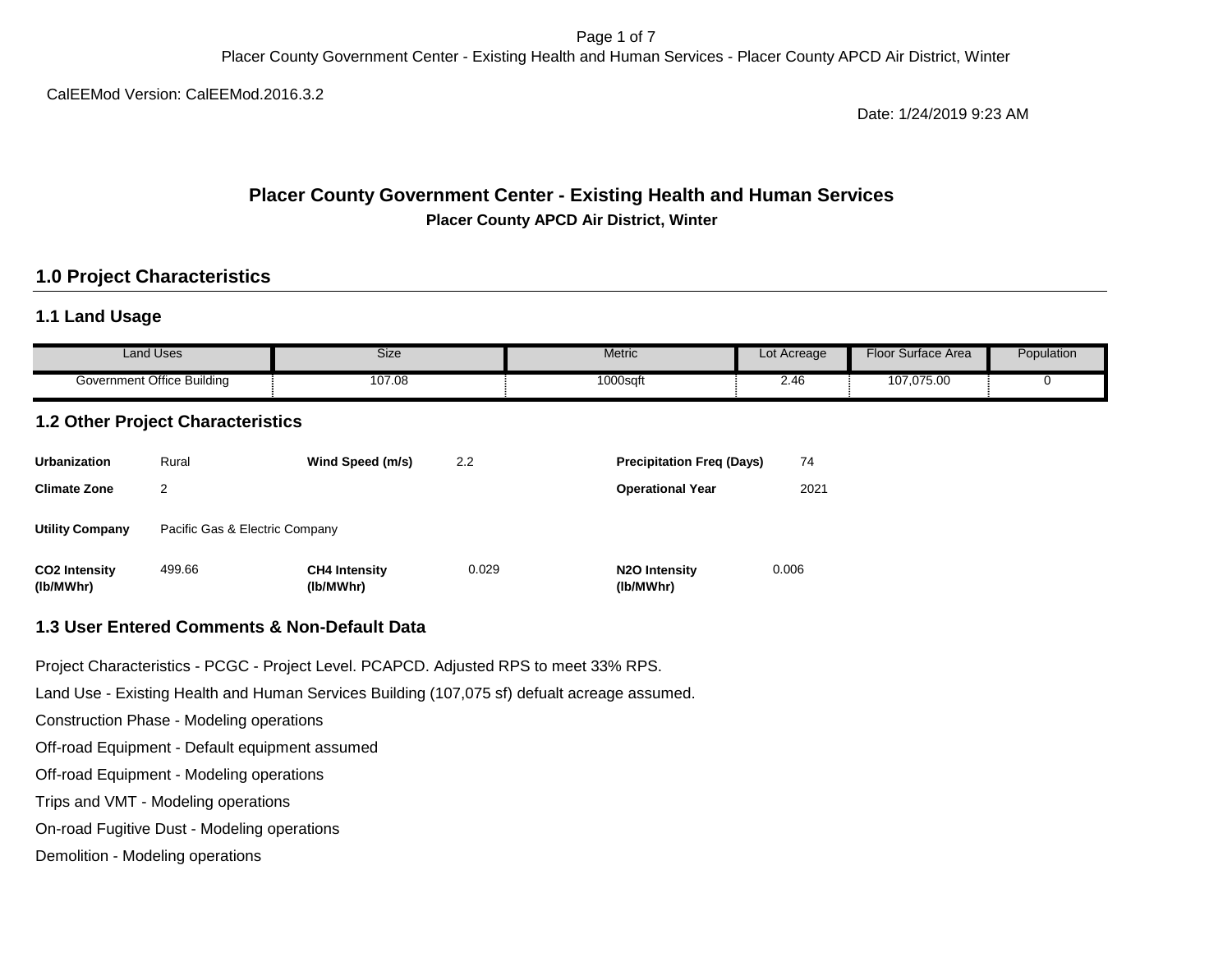Page 1 of 7 Placer County Government Center - Existing Health and Human Services - Placer County APCD Air District, Winter

CalEEMod Version: CalEEMod.2016.3.2

Date: 1/24/2019 9:23 AM

### **Placer County Government Center - Existing Health and Human Services Placer County APCD Air District, Winter**

## **1.0 Project Characteristics**

### **1.1 Land Usage**

| Land Uses                  | <b>Size</b> | Metric      | Lot Acreage | Floor<br>Surface Area | Population |
|----------------------------|-------------|-------------|-------------|-----------------------|------------|
| Government Office Building | 107.08      | $1000$ sqfu | . .<br>2.40 | 107,075.00            |            |

## **1.2 Other Project Characteristics**

| <b>Urbanization</b>               | Rural                          | Wind Speed (m/s)                  | 2.2   | <b>Precipitation Freg (Days)</b>        | 74    |
|-----------------------------------|--------------------------------|-----------------------------------|-------|-----------------------------------------|-------|
| <b>Climate Zone</b>               | 2                              |                                   |       | <b>Operational Year</b>                 | 2021  |
| <b>Utility Company</b>            | Pacific Gas & Electric Company |                                   |       |                                         |       |
| <b>CO2 Intensity</b><br>(lb/MWhr) | 499.66                         | <b>CH4 Intensity</b><br>(lb/MWhr) | 0.029 | N <sub>2</sub> O Intensity<br>(lb/MWhr) | 0.006 |

#### **1.3 User Entered Comments & Non-Default Data**

Project Characteristics - PCGC - Project Level. PCAPCD. Adjusted RPS to meet 33% RPS.

Land Use - Existing Health and Human Services Building (107,075 sf) defualt acreage assumed.

Construction Phase - Modeling operations

Off-road Equipment - Default equipment assumed

Off-road Equipment - Modeling operations

Trips and VMT - Modeling operations

On-road Fugitive Dust - Modeling operations

Demolition - Modeling operations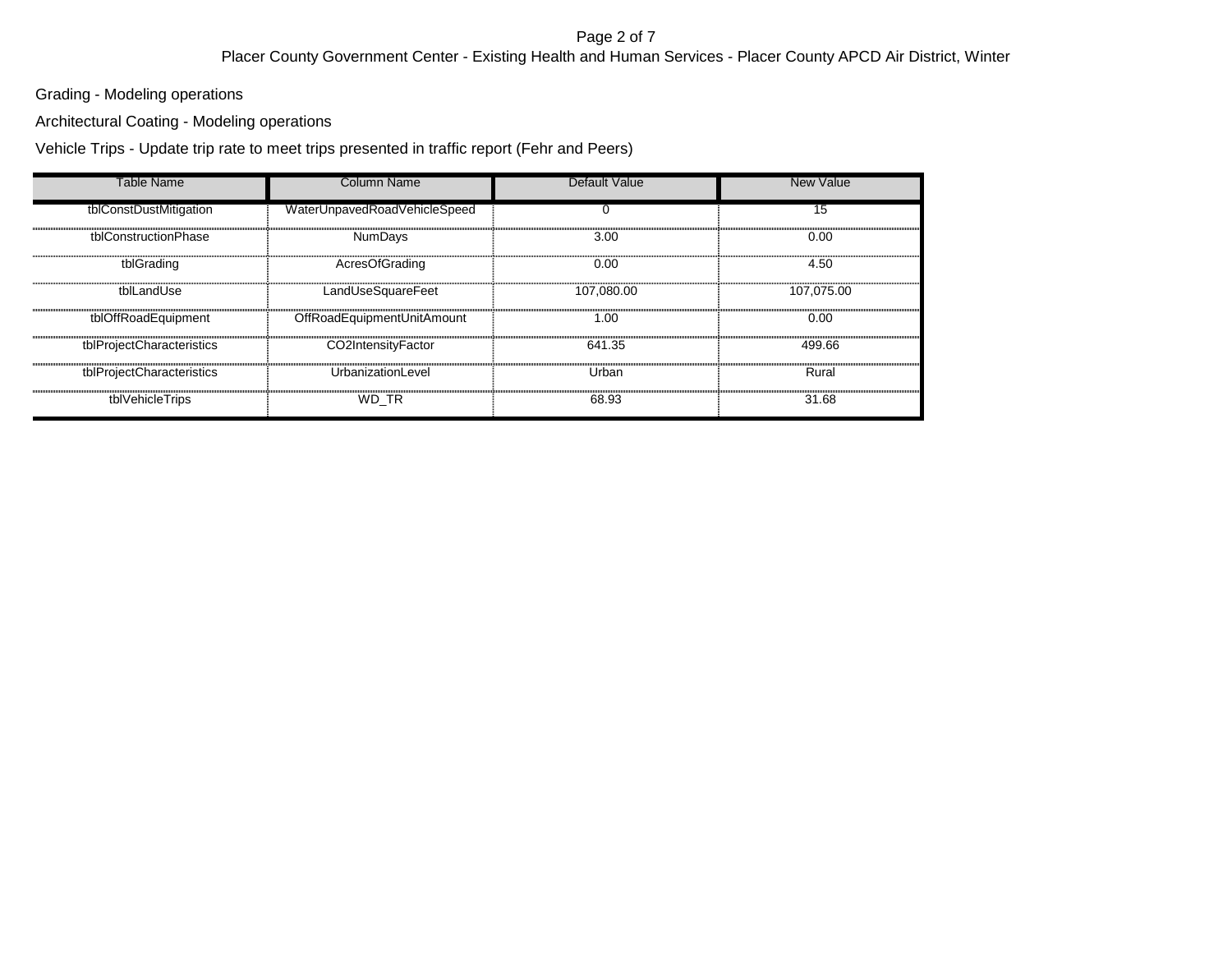#### Page 2 of 7 Placer County Government Center - Existing Health and Human Services - Placer County APCD Air District, Winter

Grading - Modeling operations

Architectural Coating - Modeling operations

Vehicle Trips - Update trip rate to meet trips presented in traffic report (Fehr and Peers)

| Table Name                | Column Name                  | Default Value | <b>New Value</b> |
|---------------------------|------------------------------|---------------|------------------|
| tblConstDustMitigation    | WaterUnpavedRoadVehicleSpeed | 0             | 15               |
| tblConstructionPhase      | <b>NumDays</b>               | 3.00          | 0.00             |
| tblGrading                | AcresOfGrading               | 0.00          | 4.50             |
| tblLandUse                | LandUseSquareFeet            | 107.080.00    | 107.075.00       |
| tblOffRoadEquipment       | OffRoadEquipmentUnitAmount   | 1.00          | 0.00             |
| tblProjectCharacteristics | CO2IntensityFactor           | 641.35        | 499.66           |
| tblProjectCharacteristics | UrbanizationLevel            | Urban         | Rural            |
| tblVehicleTrips           | WD TR                        | 68.93         | 31.68            |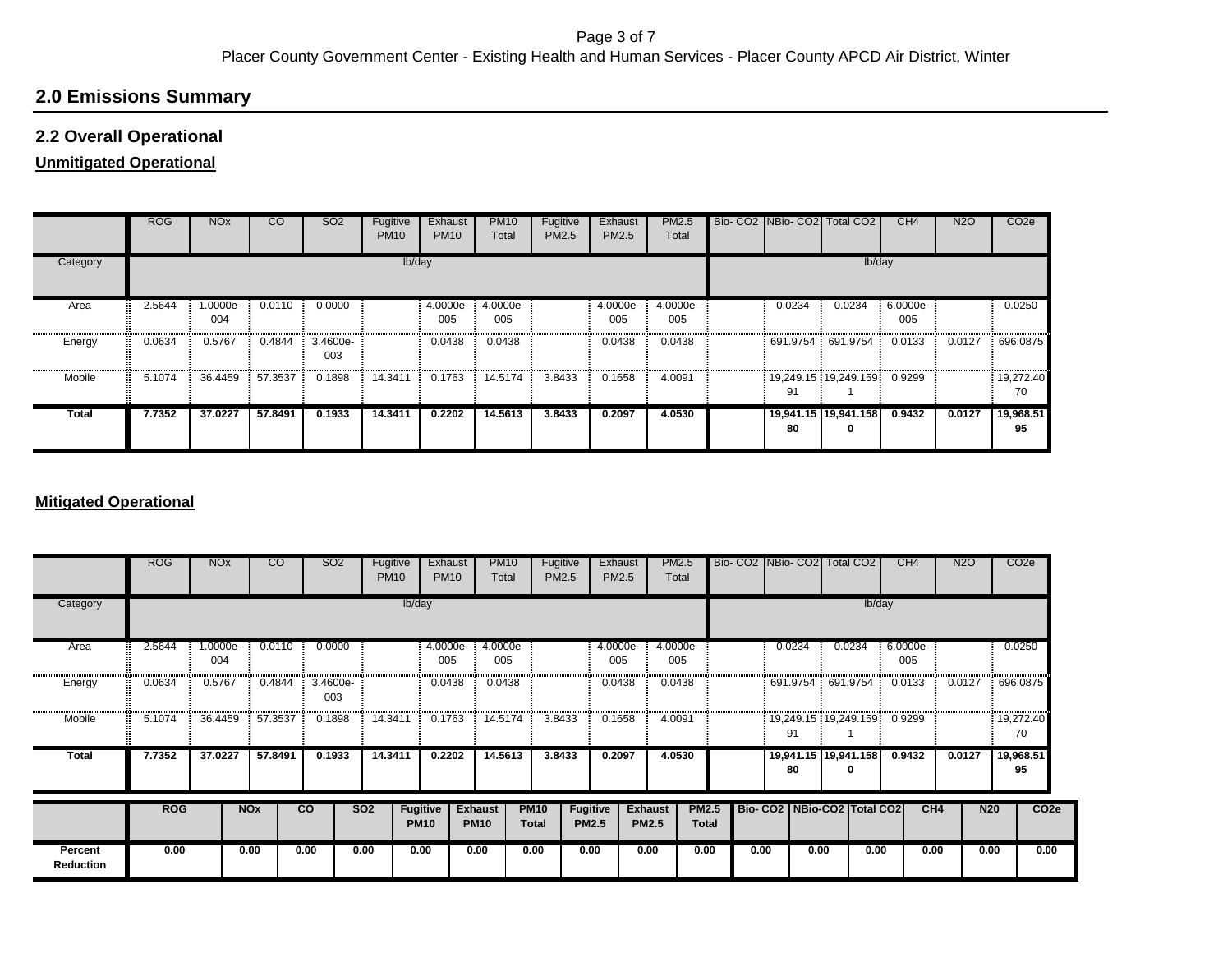# **2.0 Emissions Summary**

### **2.2 Overall Operational**

### **Unmitigated Operational**

|              | <b>ROG</b> | <b>NO<sub>x</sub></b> | <b>CO</b> | SO <sub>2</sub> | Fugitive<br><b>PM10</b> | Exhaust<br><b>PM10</b> | <b>PM10</b><br>Total | Fugitive<br>PM2.5 | Exhaust<br><b>PM2.5</b> | <b>PM2.5</b><br>Total | Bio- CO2 NBio- CO2 | <b>Total CO2</b>          | CH4             | <b>N2O</b> | CO <sub>2</sub> e |
|--------------|------------|-----------------------|-----------|-----------------|-------------------------|------------------------|----------------------|-------------------|-------------------------|-----------------------|--------------------|---------------------------|-----------------|------------|-------------------|
| Category     |            |                       |           |                 | lb/day                  |                        |                      |                   |                         |                       |                    | lb/day                    |                 |            |                   |
| Area         | 2.5644     | -.0000e<br>004        | 0.0110    | 0.0000          |                         | 4.0000e-<br>005        | 4.0000e-<br>005      |                   | 4.0000e-<br>005         | 4.0000e-<br>005       | 0.0234             | 0.0234                    | 6.0000e-<br>005 |            | 0.0250            |
| Energy       | 0.0634     | 0.5767                | 0.4844    | 3.4600e-<br>003 |                         | 0.0438                 | 0.0438               |                   | 0.0438                  | 0.0438                | 691.9754           | 691.9754                  | 0.0133          | 0.0127     | 696.0875          |
| Mobile       | 5.1074     | 36.4459               | 57.3537   | 0.1898          | 14.3411                 | 0.1763                 | 14.5174              | 3.8433            | 0.1658                  | 4.0091                | 91                 | 19,249.15 19,249.159      | 0.9299          |            | 19,272.40<br>70   |
| <b>Total</b> | 7.7352     | 37.0227               | 57.8491   | 0.1933          | 14.3411                 | 0.2202                 | 14.5613              | 3.8433            | 0.2097                  | 4.0530                | 80                 | 19,941.15 19,941.158<br>0 | 0.9432          | 0.0127     | 19,968.51<br>95   |

### **Mitigated Operational**

|                             | <b>ROG</b> | <b>NO<sub>x</sub></b> |                       | CO      | SO <sub>2</sub> | Fugitive<br><b>PM10</b> |                                | Exhaust<br><b>PM10</b> | <b>PM10</b><br>Total          |                             | Fugitive<br>PM2.5               | Exhaust<br>PM2.5 | <b>PM2.5</b><br>Total          |                              | Bio- CO2   NBio- CO2   Total CO2 |                                 |      |          | CH <sub>4</sub> |      | N <sub>2</sub> O | CO <sub>2e</sub> |
|-----------------------------|------------|-----------------------|-----------------------|---------|-----------------|-------------------------|--------------------------------|------------------------|-------------------------------|-----------------------------|---------------------------------|------------------|--------------------------------|------------------------------|----------------------------------|---------------------------------|------|----------|-----------------|------|------------------|------------------|
| Category                    |            |                       |                       |         |                 |                         | Ib/day                         |                        |                               |                             |                                 |                  |                                |                              |                                  |                                 |      | lb/day   |                 |      |                  |                  |
| Area                        | 2.5644     | 1.0000e-<br>004       |                       | 0.0110  | 0.0000          |                         |                                | 4.0000e-<br>005        | 4.0000e-<br>005               |                             |                                 | 4.0000e-<br>005  | 4.0000e-<br>005                |                              |                                  | 0.0234                          |      | 0.0234   | 6.0000e-<br>005 |      |                  | 0.0250           |
| Energy                      | 0.0634     | 0.5767                |                       | 0.4844  | 3.4600e-<br>003 |                         |                                | 0.0438                 | 0.0438                        |                             |                                 | 0.0438           | 0.0438                         |                              |                                  | 691.9754                        |      | 691.9754 | 0.0133          |      | 0.0127           | 696.0875         |
| Mobile                      | 5.1074     | 36.4459               |                       | 57.3537 | 0.1898          | 14.3411                 |                                | 0.1763                 | 14.5174                       | 3.8433                      |                                 | 0.1658           | 4.0091                         |                              |                                  | 19,249.15 19,249.159<br>91      |      |          | 0.9299          |      |                  | 19,272.40<br>70  |
| <b>Total</b>                | 7.7352     | 37.0227               |                       | 57.8491 | 0.1933          | 14.3411                 |                                | 0.2202                 | 14.5613                       | 3.8433                      |                                 | 0.2097           | 4.0530                         |                              |                                  | 19,941.15   19,941.158<br>80    |      | 0        | 0.9432          |      | 0.0127           | 19,968.51<br>95  |
|                             | <b>ROG</b> |                       | <b>NO<sub>x</sub></b> |         | $\overline{c}$  | <b>SO2</b>              | <b>Fugitive</b><br><b>PM10</b> |                        | <b>Exhaust</b><br><b>PM10</b> | <b>PM10</b><br><b>Total</b> | <b>Fugitive</b><br><b>PM2.5</b> |                  | <b>Exhaust</b><br><b>PM2.5</b> | <b>PM2.5</b><br><b>Total</b> |                                  | Bio- CO2   NBio-CO2   Total CO2 |      |          |                 | CH4  | N <sub>20</sub>  | CO <sub>2e</sub> |
| Percent<br><b>Reduction</b> | 0.00       |                       | 0.00                  |         | 0.00            | 0.00                    | 0.00                           |                        | 0.00                          | 0.00                        | 0.00                            |                  | 0.00                           | 0.00                         | 0.00                             |                                 | 0.00 | 0.00     |                 | 0.00 | 0.00             | 0.00             |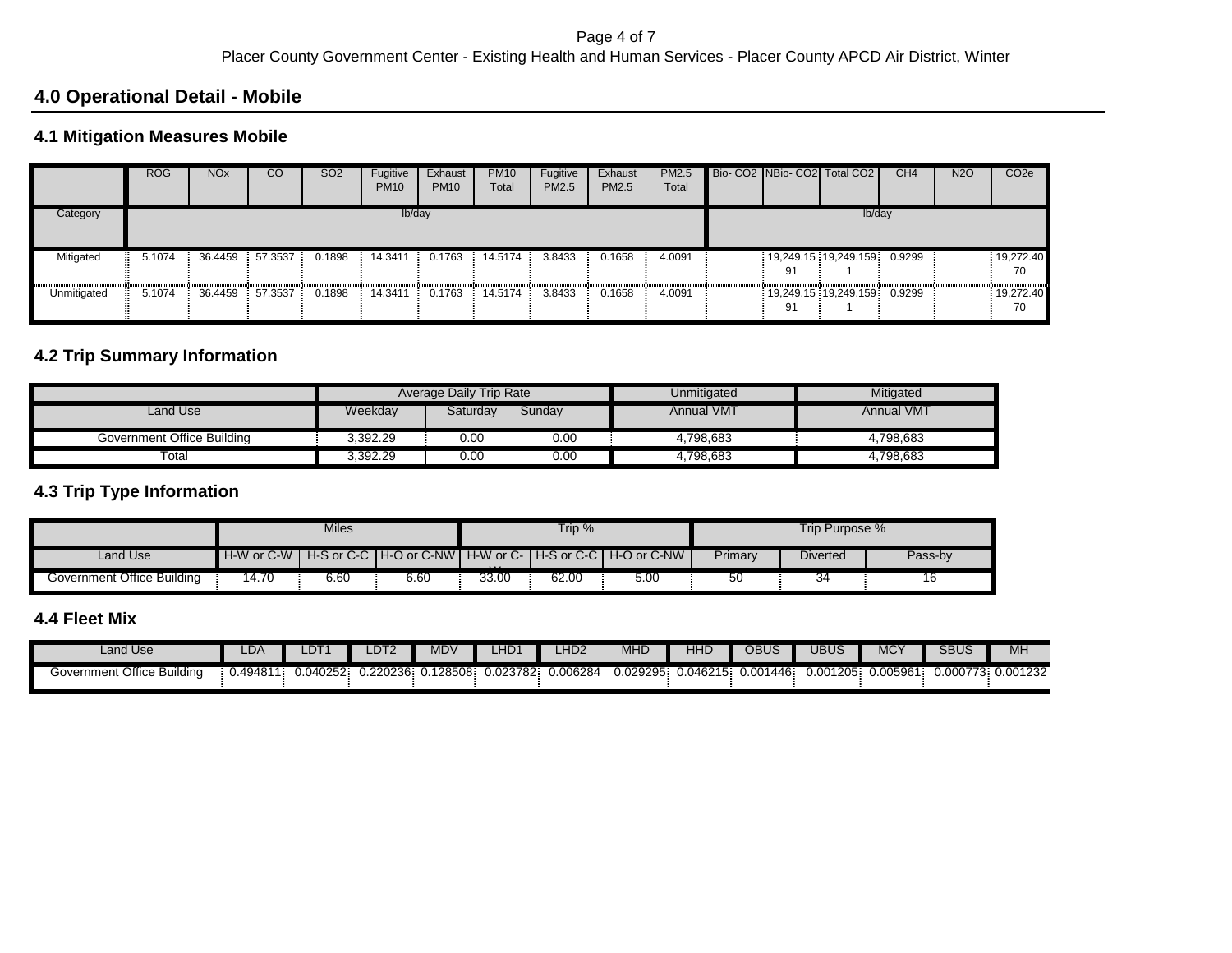# **4.0 Operational Detail - Mobile**

# **4.1 Mitigation Measures Mobile**

|             | <b>ROG</b> | <b>NO<sub>x</sub></b> | CO      | <b>SO2</b> | Fugitive<br><b>PM10</b> | Exhaust<br><b>PM10</b> | <b>PM10</b><br>Total | Fugitive<br>PM2.5 | Exhaust<br>PM2.5 | <b>PM2.5</b><br>Total |    | Bio- CO2 NBio- CO2 Total CO2 | CH <sub>4</sub> | <b>N2O</b> | CO <sub>2e</sub> |
|-------------|------------|-----------------------|---------|------------|-------------------------|------------------------|----------------------|-------------------|------------------|-----------------------|----|------------------------------|-----------------|------------|------------------|
| Category    |            |                       |         |            | lb/day                  |                        |                      |                   |                  |                       |    | lb/day                       |                 |            |                  |
| Mitigated   | 5.1074     | 36.4459               | 57.3537 | 0.1898     | 14.3411                 | 0.1763                 | 14.5174              | 3.8433            | 0.1658           | 4.0091                | 91 | 19,249.15 19,249.159         | 0.9299          |            | 19,272.40<br>70  |
| Unmitigated | 5.1074     | 36.4459               | 57.3537 | 0.1898     | 14.3411                 | 0.1763                 | 14.5174              | 3.8433            | 0.1658           | 4.0091                | 91 | 19,249.15 19,249.159         | 0.9299          |            | 19,272.40<br>70  |

# **4.2 Trip Summary Information**

|                            |          | <b>Average Daily Trip Rate</b> |        | Unmitigated       | Mitigated         |
|----------------------------|----------|--------------------------------|--------|-------------------|-------------------|
| Land Use                   | Weekday  | Saturdav                       | Sunday | <b>Annual VMT</b> | <b>Annual VMT</b> |
| Government Office Building | 3.392.29 | 0.00                           | 0.00   | 4.798.683         | 4.798.683         |
| Total                      | 3,392.29 | 0.00                           | 0.00   | 4.798.683         | 4,798,683         |

### **4.3 Trip Type Information**

|                            |       | Miles |      |          | Trip % |                                                                              |         | Trip Purpose % |         |
|----------------------------|-------|-------|------|----------|--------|------------------------------------------------------------------------------|---------|----------------|---------|
| Land Use                   |       |       |      | $\cdots$ |        | H-W or C-W   H-S or C-C   H-O or C-NW   H-W or C-   H-S or C-C   H-O or C-NW | Primary | Diverted       | Pass-by |
| Government Office Building | 14.70 | 6.60  | 6.60 | 33.00    | 62.00  | 5.00                                                                         | 50      | 34             |         |

# **4.4 Fleet Mix**

| Land Use                         | LDA.     | _DT      | DT <sub>2</sub> | MDV          | $\mathbf{m}$<br>4HD' | LHD2    | <b>MHD</b> | HHD      | OBUS          | JBUS     | $\sqrt{2}$<br>۷IV | <b>SBUS</b> | MH         |
|----------------------------------|----------|----------|-----------------|--------------|----------------------|---------|------------|----------|---------------|----------|-------------------|-------------|------------|
| Office<br>Building<br>Government | 0.49481' | 0.040252 | 0.220236        | 128508<br>u. | 0.023782             | .006284 | 0.029295   | 0.046215 | 1446<br>0.001 | 0.001205 | 0.005961          | 0.000773    | 3 0.001232 |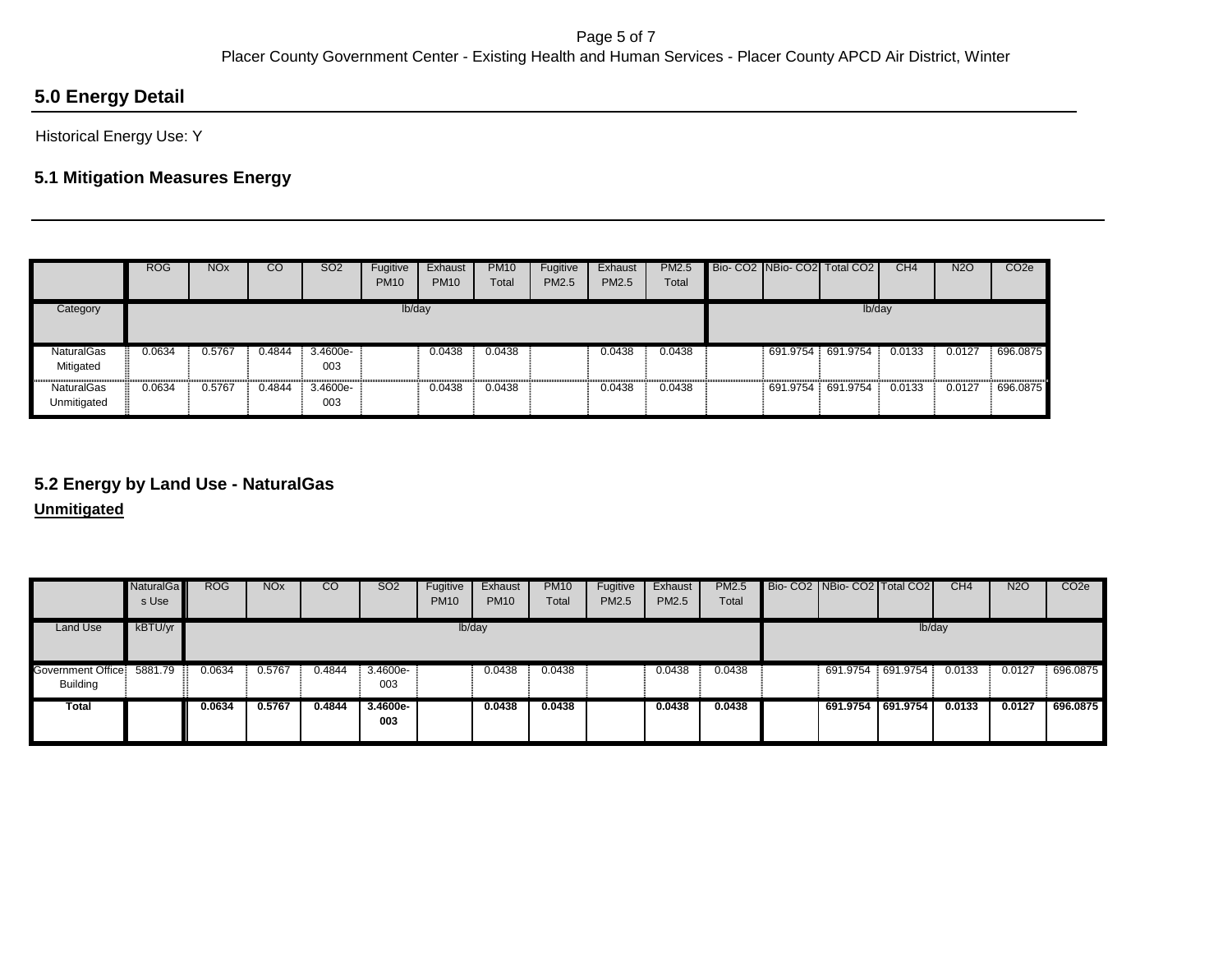# **5.0 Energy Detail**

Historical Energy Use: Y

# **5.1 Mitigation Measures Energy**

|                                  | <b>ROG</b> | <b>NO<sub>x</sub></b> | $\overline{c}$ | <b>SO2</b>      | Fugitive<br><b>PM10</b> | Exhaust<br><b>PM10</b> | <b>PM10</b><br><b>Total</b> | Fugitive<br><b>PM2.5</b> | Exhaust<br><b>PM2.5</b> | <b>PM2.5</b><br>Total |          | Bio- CO2 NBio- CO2 Total CO2 | CH <sub>4</sub> | <b>N2O</b> | CO <sub>2</sub> e |
|----------------------------------|------------|-----------------------|----------------|-----------------|-------------------------|------------------------|-----------------------------|--------------------------|-------------------------|-----------------------|----------|------------------------------|-----------------|------------|-------------------|
| Category                         |            |                       |                |                 | lb/day                  |                        |                             |                          |                         |                       |          | lb/day                       |                 |            |                   |
| <b>NaturalGas</b><br>Mitigated   | 0.0634     | 0.5767                | 0.4844         | 3.4600e-<br>003 |                         | 0.0438                 | 0.0438                      |                          | 0.0438                  | 0.0438                | 691.9754 | 691.9754                     | 0.0133          | 0.0127     | 696.0875          |
| <b>NaturalGas</b><br>Unmitigated | 0.0634     | 0.5767                | 0.4844         | 3.4600e-<br>003 |                         | 0.0438                 | 0.0438                      |                          | 0.0438                  | 0.0438                | 691.9754 | 691.9754                     | 0.0133          | 0.0127     | 696.0875          |

# **5.2 Energy by Land Use - NaturalGas**

**Unmitigated**

|                                      | <b>NaturalGa</b><br>s Use | <b>ROG</b> | <b>NO<sub>x</sub></b> | $\overline{c}$ | <b>SO2</b>      | Fugitive<br><b>PM10</b> | Exhaust<br><b>PM10</b> | <b>PM10</b><br>Total | Fugitive<br>PM2.5 | Exhaust<br>PM2.5 | <b>PM2.5</b><br>Total |        | Bio- CO2   NBio- CO2   Total CO2 |  | CH4    | <b>N2O</b> | CO <sub>2</sub> e |  |  |
|--------------------------------------|---------------------------|------------|-----------------------|----------------|-----------------|-------------------------|------------------------|----------------------|-------------------|------------------|-----------------------|--------|----------------------------------|--|--------|------------|-------------------|--|--|
| Land Use                             | kBTU/yr                   | lb/day     |                       |                |                 |                         |                        |                      |                   |                  |                       | lb/day |                                  |  |        |            |                   |  |  |
| Government Office<br><b>Building</b> | 5881.79                   | 0.0634     | 0.5767                | 0.4844         | 3.4600e-<br>003 |                         | 0.0438                 | 0.0438               |                   | 0.0438           | 0.0438                |        | 691.9754 691.9754                |  | 0.0133 | 0.0127     | 696.0875          |  |  |
| <b>Total</b>                         |                           | 0.0634     | 0.5767                | 0.4844         | 3.4600e-<br>003 |                         | 0.0438                 | 0.0438               |                   | 0.0438           | 0.0438                |        | 691.9754 691.9754                |  | 0.0133 | 0.0127     | 696.0875          |  |  |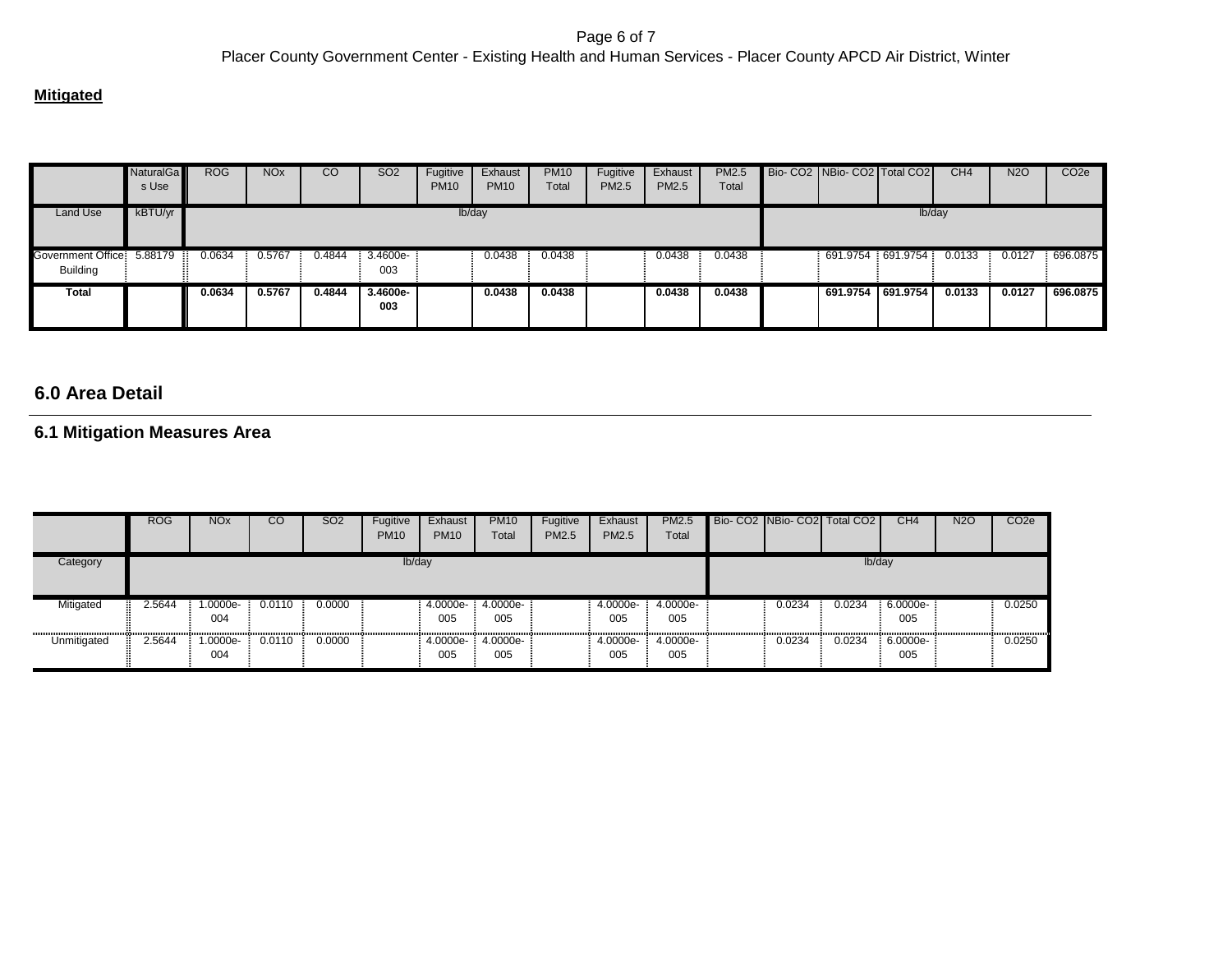#### **Mitigated**

|                                       | NaturalGa<br>s Use | <b>ROG</b> | <b>NO<sub>x</sub></b> | CO     | SO <sub>2</sub>   | Fugitive<br><b>PM10</b> | Exhaust<br><b>PM10</b> | <b>PM10</b><br>Total | Fugitive<br>PM2.5 | Exhaust<br>PM2.5 | <b>PM2.5</b><br>Total |  | Bio- CO2   NBio- CO2   Total CO2 |  | CH <sub>4</sub> | N <sub>2</sub> O | CO <sub>2e</sub> |  |  |  |
|---------------------------------------|--------------------|------------|-----------------------|--------|-------------------|-------------------------|------------------------|----------------------|-------------------|------------------|-----------------------|--|----------------------------------|--|-----------------|------------------|------------------|--|--|--|
| Land Use                              | kBTU/yr            | lb/day     |                       |        |                   |                         |                        |                      |                   |                  |                       |  | Ib/day                           |  |                 |                  |                  |  |  |  |
| Government Office:<br><b>Building</b> | 5.88179            | 0.0634     | 0.5767                | 0.4844 | 3.4600e-<br>003   |                         | 0.0438                 | 0.0438               |                   | 0.0438           | 0.0438                |  | 691.9754 691.9754                |  | 0.0133          | 0.0127           | 696.0875         |  |  |  |
| <b>Total</b>                          |                    | 0.0634     | 0.5767                | 0.4844 | $3.4600e-$<br>003 |                         | 0.0438                 | 0.0438               |                   | 0.0438           | 0.0438                |  | 691.9754 691.9754                |  | 0.0133          | 0.0127           | 696.0875         |  |  |  |

# **6.0 Area Detail**

### **6.1 Mitigation Measures Area**

|             | <b>ROG</b> | <b>NO<sub>x</sub></b> | CO     | SO <sub>2</sub> | Fugitive<br><b>PM10</b> | Exhaust<br><b>PM10</b> | <b>PM10</b><br>Total | Fugitive<br><b>PM2.5</b> | Exhaust<br><b>PM2.5</b> | PM2.5<br>Total  |  |        | Bio-CO2 NBio-CO2 Total CO2 | CH <sub>4</sub> | <b>N2O</b> | CO <sub>2e</sub> |  |  |  |
|-------------|------------|-----------------------|--------|-----------------|-------------------------|------------------------|----------------------|--------------------------|-------------------------|-----------------|--|--------|----------------------------|-----------------|------------|------------------|--|--|--|
| Category    | lb/day     |                       |        |                 |                         |                        |                      |                          |                         |                 |  | lb/day |                            |                 |            |                  |  |  |  |
| Mitigated   | 2.5644     | 1.0000e-<br>004       | 0.0110 | 0.0000          |                         | 4.0000e-<br>005        | 4.0000e-<br>005      |                          | 4.0000e-<br>005         | 4.0000e-<br>005 |  | 0.0234 | 0.0234                     | 6.0000e-<br>005 |            | 0.0250           |  |  |  |
| Unmitigated | 2.5644     | 1.0000e-<br>004       | 0.0110 | 0.0000          |                         | 4.0000e-<br>005        | 4.0000e-<br>005      |                          | 4.0000e-<br>005         | 4.0000e-<br>005 |  | 0.0234 | 0.0234                     | 6.0000e-<br>005 |            | 0.0250           |  |  |  |